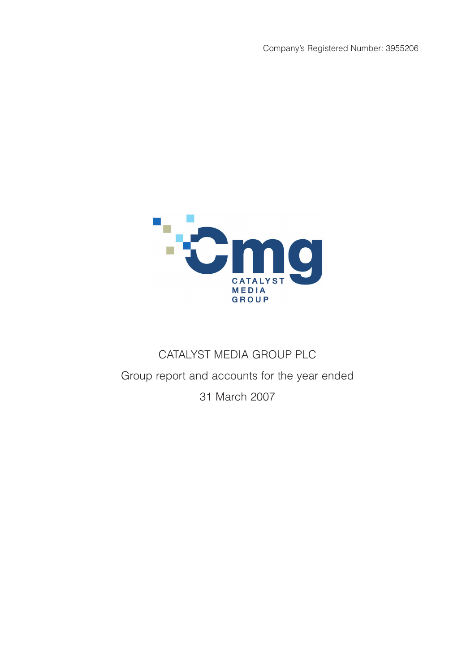Company's Registered Number: 3955206



## CATALYST MEDIA GROUP PLC Group report and accounts for the year ended 31 March 2007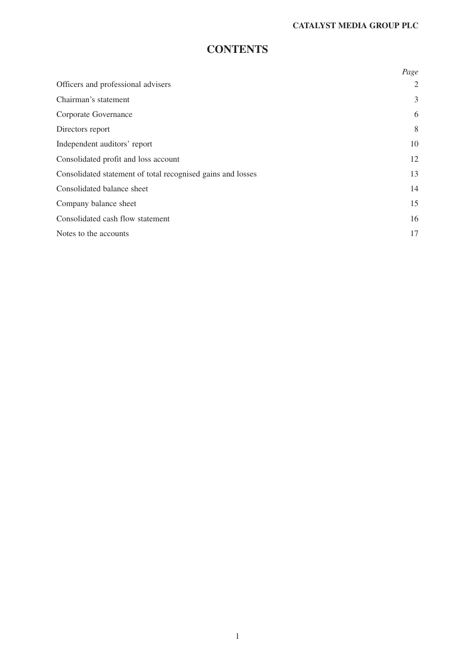## **CONTENTS**

|                                                             | Page |
|-------------------------------------------------------------|------|
| Officers and professional advisers                          | 2    |
| Chairman's statement                                        | 3    |
| Corporate Governance                                        | 6    |
| Directors report                                            | 8    |
| Independent auditors' report                                | 10   |
| Consolidated profit and loss account                        | 12   |
| Consolidated statement of total recognised gains and losses | 13   |
| Consolidated balance sheet                                  | 14   |
| Company balance sheet                                       | 15   |
| Consolidated cash flow statement                            | 16   |
| Notes to the accounts                                       | 17   |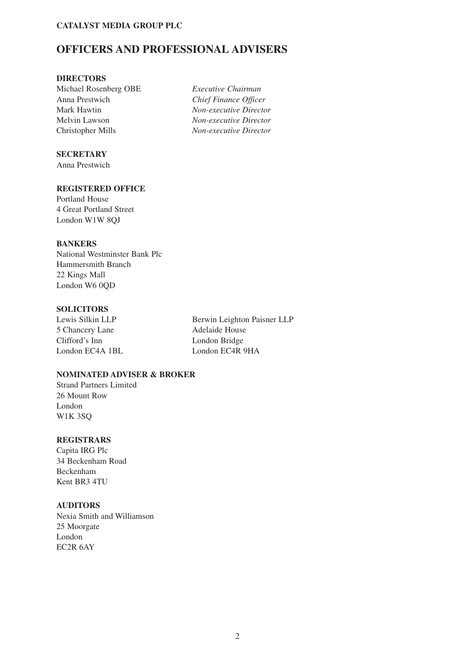## **OFFICERS AND PROFESSIONAL ADVISERS**

## **DIRECTORS**

Michael Rosenberg OBE *Executive Chairman* Anna Prestwich *Chief Finance Officer* Mark Hawtin *Non-executive Director* Melvin Lawson *Non-executive Director* Christopher Mills *Non-executive Director*

## **SECRETARY**

Anna Prestwich

## **REGISTERED OFFICE**

Portland House 4 Great Portland Street London W1W 8QJ

## **BANKERS**

National Westminster Bank Plc Hammersmith Branch 22 Kings Mall London W6 0QD

#### **SOLICITORS**

5 Chancery Lane Adelaide House Clifford's Inn London Bridge London EC4A 1BL London EC4R 9HA

Lewis Silkin LLP Berwin Leighton Paisner LLP

## **NOMINATED ADVISER & BROKER**

Strand Partners Limited 26 Mount Row London W1K 3SQ

#### **REGISTRARS**

Capita IRG Plc 34 Beckenham Road Beckenham Kent BR3 4TU

## **AUDITORS**

Nexia Smith and Williamson 25 Moorgate London EC2R 6AY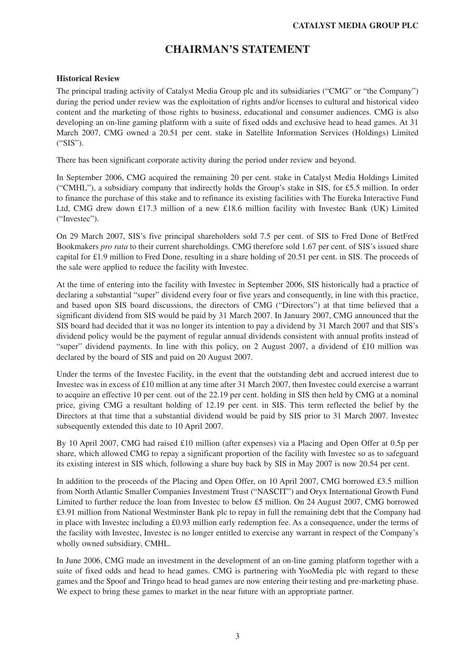## **CHAIRMAN'S STATEMENT**

## **Historical Review**

The principal trading activity of Catalyst Media Group plc and its subsidiaries ("CMG" or "the Company") during the period under review was the exploitation of rights and/or licenses to cultural and historical video content and the marketing of those rights to business, educational and consumer audiences. CMG is also developing an on-line gaming platform with a suite of fixed odds and exclusive head to head games. At 31 March 2007, CMG owned a 20.51 per cent. stake in Satellite Information Services (Holdings) Limited ("SIS").

There has been significant corporate activity during the period under review and beyond.

In September 2006, CMG acquired the remaining 20 per cent. stake in Catalyst Media Holdings Limited ("CMHL"), a subsidiary company that indirectly holds the Group's stake in SIS, for £5.5 million. In order to finance the purchase of this stake and to refinance its existing facilities with The Eureka Interactive Fund Ltd, CMG drew down £17.3 million of a new £18.6 million facility with Investec Bank (UK) Limited ("Investec").

On 29 March 2007, SIS's five principal shareholders sold 7.5 per cent. of SIS to Fred Done of BetFred Bookmakers *pro rata* to their current shareholdings. CMG therefore sold 1.67 per cent. of SIS's issued share capital for £1.9 million to Fred Done, resulting in a share holding of 20.51 per cent. in SIS. The proceeds of the sale were applied to reduce the facility with Investec.

At the time of entering into the facility with Investec in September 2006, SIS historically had a practice of declaring a substantial "super" dividend every four or five years and consequently, in line with this practice, and based upon SIS board discussions, the directors of CMG ("Directors") at that time believed that a significant dividend from SIS would be paid by 31 March 2007. In January 2007, CMG announced that the SIS board had decided that it was no longer its intention to pay a dividend by 31 March 2007 and that SIS's dividend policy would be the payment of regular annual dividends consistent with annual profits instead of "super" dividend payments. In line with this policy, on 2 August 2007, a dividend of £10 million was declared by the board of SIS and paid on 20 August 2007.

Under the terms of the Investec Facility, in the event that the outstanding debt and accrued interest due to Investec was in excess of £10 million at any time after 31 March 2007, then Investec could exercise a warrant to acquire an effective 10 per cent. out of the 22.19 per cent. holding in SIS then held by CMG at a nominal price, giving CMG a resultant holding of 12.19 per cent. in SIS. This term reflected the belief by the Directors at that time that a substantial dividend would be paid by SIS prior to 31 March 2007. Investec subsequently extended this date to 10 April 2007.

By 10 April 2007, CMG had raised £10 million (after expenses) via a Placing and Open Offer at 0.5p per share, which allowed CMG to repay a significant proportion of the facility with Investec so as to safeguard its existing interest in SIS which, following a share buy back by SIS in May 2007 is now 20.54 per cent.

In addition to the proceeds of the Placing and Open Offer, on 10 April 2007, CMG borrowed £3.5 million from North Atlantic Smaller Companies Investment Trust ("NASCIT") and Oryx International Growth Fund Limited to further reduce the loan from Investec to below £5 million. On 24 August 2007, CMG borrowed £3.91 million from National Westminster Bank plc to repay in full the remaining debt that the Company had in place with Investec including a £0.93 million early redemption fee. As a consequence, under the terms of the facility with Investec, Investec is no longer entitled to exercise any warrant in respect of the Company's wholly owned subsidiary, CMHL.

In June 2006, CMG made an investment in the development of an on-line gaming platform together with a suite of fixed odds and head to head games. CMG is partnering with YooMedia plc with regard to these games and the Spoof and Tringo head to head games are now entering their testing and pre-marketing phase. We expect to bring these games to market in the near future with an appropriate partner.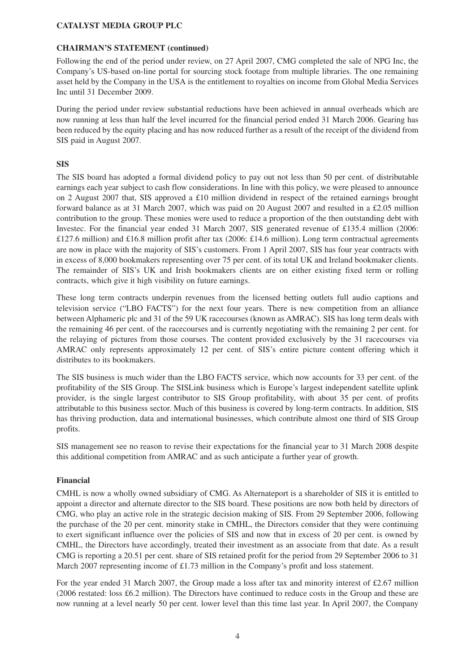## **CHAIRMAN'S STATEMENT (continued)**

Following the end of the period under review, on 27 April 2007, CMG completed the sale of NPG Inc, the Company's US-based on-line portal for sourcing stock footage from multiple libraries. The one remaining asset held by the Company in the USA is the entitlement to royalties on income from Global Media Services Inc until 31 December 2009.

During the period under review substantial reductions have been achieved in annual overheads which are now running at less than half the level incurred for the financial period ended 31 March 2006. Gearing has been reduced by the equity placing and has now reduced further as a result of the receipt of the dividend from SIS paid in August 2007.

## **SIS**

The SIS board has adopted a formal dividend policy to pay out not less than 50 per cent. of distributable earnings each year subject to cash flow considerations. In line with this policy, we were pleased to announce on 2 August 2007 that, SIS approved a £10 million dividend in respect of the retained earnings brought forward balance as at 31 March 2007, which was paid on 20 August 2007 and resulted in a £2.05 million contribution to the group. These monies were used to reduce a proportion of the then outstanding debt with Investec. For the financial year ended 31 March 2007, SIS generated revenue of £135.4 million (2006: £127.6 million) and £16.8 million profit after tax (2006: £14.6 million). Long term contractual agreements are now in place with the majority of SIS's customers. From 1 April 2007, SIS has four year contracts with in excess of 8,000 bookmakers representing over 75 per cent. of its total UK and Ireland bookmaker clients. The remainder of SIS's UK and Irish bookmakers clients are on either existing fixed term or rolling contracts, which give it high visibility on future earnings.

These long term contracts underpin revenues from the licensed betting outlets full audio captions and television service ("LBO FACTS") for the next four years. There is new competition from an alliance between Alphameric plc and 31 of the 59 UK racecourses (known as AMRAC). SIS has long term deals with the remaining 46 per cent. of the racecourses and is currently negotiating with the remaining 2 per cent. for the relaying of pictures from those courses. The content provided exclusively by the 31 racecourses via AMRAC only represents approximately 12 per cent. of SIS's entire picture content offering which it distributes to its bookmakers.

The SIS business is much wider than the LBO FACTS service, which now accounts for 33 per cent. of the profitability of the SIS Group. The SISLink business which is Europe's largest independent satellite uplink provider, is the single largest contributor to SIS Group profitability, with about 35 per cent. of profits attributable to this business sector. Much of this business is covered by long-term contracts. In addition, SIS has thriving production, data and international businesses, which contribute almost one third of SIS Group profits.

SIS management see no reason to revise their expectations for the financial year to 31 March 2008 despite this additional competition from AMRAC and as such anticipate a further year of growth.

## **Financial**

CMHL is now a wholly owned subsidiary of CMG. As Alternateport is a shareholder of SIS it is entitled to appoint a director and alternate director to the SIS board. These positions are now both held by directors of CMG, who play an active role in the strategic decision making of SIS. From 29 September 2006, following the purchase of the 20 per cent. minority stake in CMHL, the Directors consider that they were continuing to exert significant influence over the policies of SIS and now that in excess of 20 per cent. is owned by CMHL, the Directors have accordingly, treated their investment as an associate from that date. As a result CMG is reporting a 20.51 per cent. share of SIS retained profit for the period from 29 September 2006 to 31 March 2007 representing income of £1.73 million in the Company's profit and loss statement.

For the year ended 31 March 2007, the Group made a loss after tax and minority interest of £2.67 million (2006 restated: loss £6.2 million). The Directors have continued to reduce costs in the Group and these are now running at a level nearly 50 per cent. lower level than this time last year. In April 2007, the Company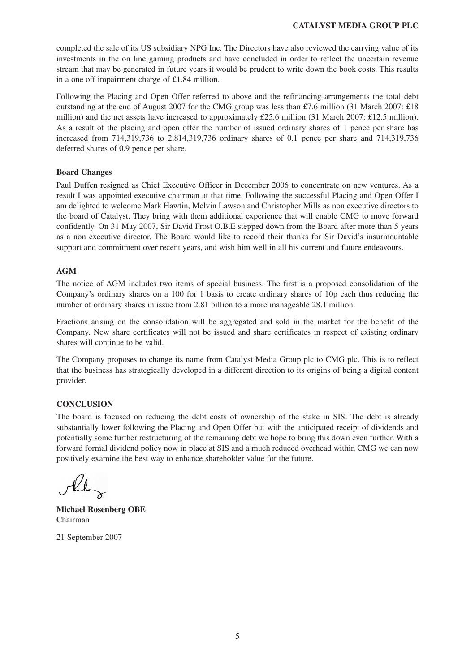completed the sale of its US subsidiary NPG Inc. The Directors have also reviewed the carrying value of its investments in the on line gaming products and have concluded in order to reflect the uncertain revenue stream that may be generated in future years it would be prudent to write down the book costs. This results in a one off impairment charge of £1.84 million.

Following the Placing and Open Offer referred to above and the refinancing arrangements the total debt outstanding at the end of August 2007 for the CMG group was less than £7.6 million (31 March 2007: £18 million) and the net assets have increased to approximately £25.6 million (31 March 2007: £12.5 million). As a result of the placing and open offer the number of issued ordinary shares of 1 pence per share has increased from 714,319,736 to 2,814,319,736 ordinary shares of 0.1 pence per share and 714,319,736 deferred shares of 0.9 pence per share.

#### **Board Changes**

Paul Duffen resigned as Chief Executive Officer in December 2006 to concentrate on new ventures. As a result I was appointed executive chairman at that time. Following the successful Placing and Open Offer I am delighted to welcome Mark Hawtin, Melvin Lawson and Christopher Mills as non executive directors to the board of Catalyst. They bring with them additional experience that will enable CMG to move forward confidently. On 31 May 2007, Sir David Frost O.B.E stepped down from the Board after more than 5 years as a non executive director. The Board would like to record their thanks for Sir David's insurmountable support and commitment over recent years, and wish him well in all his current and future endeavours.

#### **AGM**

The notice of AGM includes two items of special business. The first is a proposed consolidation of the Company's ordinary shares on a 100 for 1 basis to create ordinary shares of 10p each thus reducing the number of ordinary shares in issue from 2.81 billion to a more manageable 28.1 million.

Fractions arising on the consolidation will be aggregated and sold in the market for the benefit of the Company. New share certificates will not be issued and share certificates in respect of existing ordinary shares will continue to be valid.

The Company proposes to change its name from Catalyst Media Group plc to CMG plc. This is to reflect that the business has strategically developed in a different direction to its origins of being a digital content provider.

## **CONCLUSION**

The board is focused on reducing the debt costs of ownership of the stake in SIS. The debt is already substantially lower following the Placing and Open Offer but with the anticipated receipt of dividends and potentially some further restructuring of the remaining debt we hope to bring this down even further. With a forward formal dividend policy now in place at SIS and a much reduced overhead within CMG we can now positively examine the best way to enhance shareholder value for the future.

**Michael Rosenberg OBE** Chairman

21 September 2007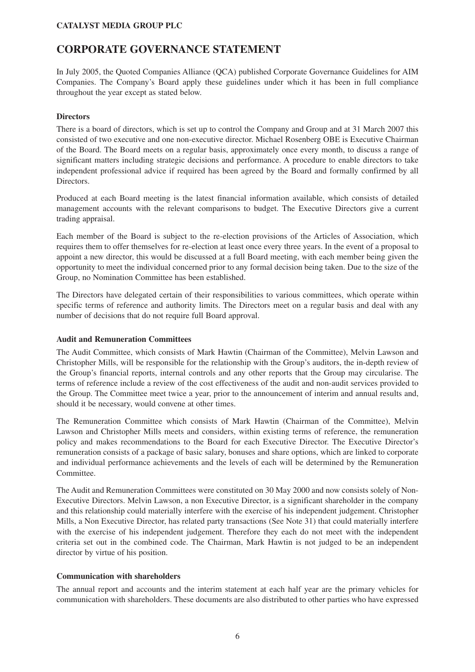## **CORPORATE GOVERNANCE STATEMENT**

In July 2005, the Quoted Companies Alliance (QCA) published Corporate Governance Guidelines for AIM Companies. The Company's Board apply these guidelines under which it has been in full compliance throughout the year except as stated below.

## **Directors**

There is a board of directors, which is set up to control the Company and Group and at 31 March 2007 this consisted of two executive and one non-executive director. Michael Rosenberg OBE is Executive Chairman of the Board. The Board meets on a regular basis, approximately once every month, to discuss a range of significant matters including strategic decisions and performance. A procedure to enable directors to take independent professional advice if required has been agreed by the Board and formally confirmed by all Directors.

Produced at each Board meeting is the latest financial information available, which consists of detailed management accounts with the relevant comparisons to budget. The Executive Directors give a current trading appraisal.

Each member of the Board is subject to the re-election provisions of the Articles of Association, which requires them to offer themselves for re-election at least once every three years. In the event of a proposal to appoint a new director, this would be discussed at a full Board meeting, with each member being given the opportunity to meet the individual concerned prior to any formal decision being taken. Due to the size of the Group, no Nomination Committee has been established.

The Directors have delegated certain of their responsibilities to various committees, which operate within specific terms of reference and authority limits. The Directors meet on a regular basis and deal with any number of decisions that do not require full Board approval.

## **Audit and Remuneration Committees**

The Audit Committee, which consists of Mark Hawtin (Chairman of the Committee), Melvin Lawson and Christopher Mills, will be responsible for the relationship with the Group's auditors, the in-depth review of the Group's financial reports, internal controls and any other reports that the Group may circularise. The terms of reference include a review of the cost effectiveness of the audit and non-audit services provided to the Group. The Committee meet twice a year, prior to the announcement of interim and annual results and, should it be necessary, would convene at other times.

The Remuneration Committee which consists of Mark Hawtin (Chairman of the Committee), Melvin Lawson and Christopher Mills meets and considers, within existing terms of reference, the remuneration policy and makes recommendations to the Board for each Executive Director. The Executive Director's remuneration consists of a package of basic salary, bonuses and share options, which are linked to corporate and individual performance achievements and the levels of each will be determined by the Remuneration Committee.

The Audit and Remuneration Committees were constituted on 30 May 2000 and now consists solely of Non-Executive Directors. Melvin Lawson, a non Executive Director, is a significant shareholder in the company and this relationship could materially interfere with the exercise of his independent judgement. Christopher Mills, a Non Executive Director, has related party transactions (See Note 31) that could materially interfere with the exercise of his independent judgement. Therefore they each do not meet with the independent criteria set out in the combined code. The Chairman, Mark Hawtin is not judged to be an independent director by virtue of his position.

## **Communication with shareholders**

The annual report and accounts and the interim statement at each half year are the primary vehicles for communication with shareholders. These documents are also distributed to other parties who have expressed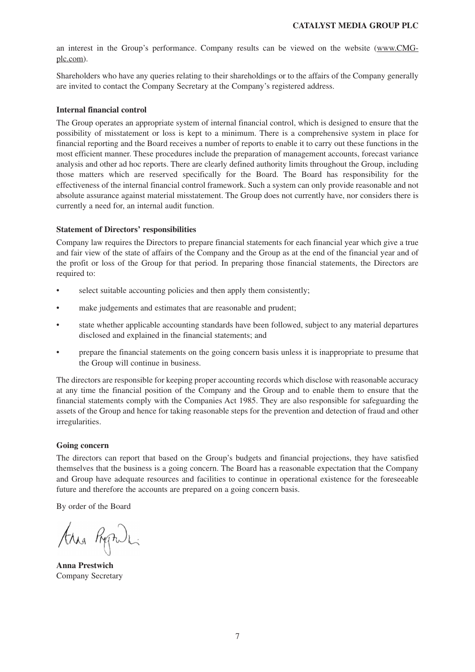an interest in the Group's performance. Company results can be viewed on the website (www.CMGplc.com).

Shareholders who have any queries relating to their shareholdings or to the affairs of the Company generally are invited to contact the Company Secretary at the Company's registered address.

#### **Internal financial control**

The Group operates an appropriate system of internal financial control, which is designed to ensure that the possibility of misstatement or loss is kept to a minimum. There is a comprehensive system in place for financial reporting and the Board receives a number of reports to enable it to carry out these functions in the most efficient manner. These procedures include the preparation of management accounts, forecast variance analysis and other ad hoc reports. There are clearly defined authority limits throughout the Group, including those matters which are reserved specifically for the Board. The Board has responsibility for the effectiveness of the internal financial control framework. Such a system can only provide reasonable and not absolute assurance against material misstatement. The Group does not currently have, nor considers there is currently a need for, an internal audit function.

#### **Statement of Directors' responsibilities**

Company law requires the Directors to prepare financial statements for each financial year which give a true and fair view of the state of affairs of the Company and the Group as at the end of the financial year and of the profit or loss of the Group for that period. In preparing those financial statements, the Directors are required to:

- select suitable accounting policies and then apply them consistently;
- make judgements and estimates that are reasonable and prudent;
- state whether applicable accounting standards have been followed, subject to any material departures disclosed and explained in the financial statements; and
- prepare the financial statements on the going concern basis unless it is inappropriate to presume that the Group will continue in business.

The directors are responsible for keeping proper accounting records which disclose with reasonable accuracy at any time the financial position of the Company and the Group and to enable them to ensure that the financial statements comply with the Companies Act 1985. They are also responsible for safeguarding the assets of the Group and hence for taking reasonable steps for the prevention and detection of fraud and other irregularities.

#### **Going concern**

The directors can report that based on the Group's budgets and financial projections, they have satisfied themselves that the business is a going concern. The Board has a reasonable expectation that the Company and Group have adequate resources and facilities to continue in operational existence for the foreseeable future and therefore the accounts are prepared on a going concern basis.

By order of the Board

Arra Republ

**Anna Prestwich** Company Secretary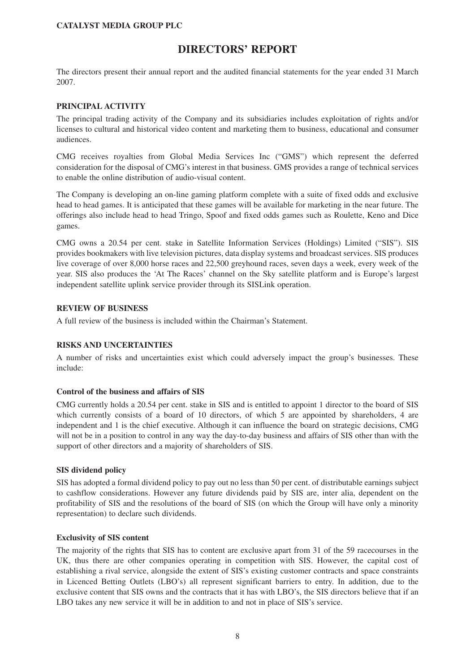## **DIRECTORS' REPORT**

The directors present their annual report and the audited financial statements for the year ended 31 March 2007.

## **PRINCIPAL ACTIVITY**

The principal trading activity of the Company and its subsidiaries includes exploitation of rights and/or licenses to cultural and historical video content and marketing them to business, educational and consumer audiences.

CMG receives royalties from Global Media Services Inc ("GMS") which represent the deferred consideration for the disposal of CMG's interest in that business. GMS provides a range of technical services to enable the online distribution of audio-visual content.

The Company is developing an on-line gaming platform complete with a suite of fixed odds and exclusive head to head games. It is anticipated that these games will be available for marketing in the near future. The offerings also include head to head Tringo, Spoof and fixed odds games such as Roulette, Keno and Dice games.

CMG owns a 20.54 per cent. stake in Satellite Information Services (Holdings) Limited ("SIS"). SIS provides bookmakers with live television pictures, data display systems and broadcast services. SIS produces live coverage of over 8,000 horse races and 22,500 greyhound races, seven days a week, every week of the year. SIS also produces the 'At The Races' channel on the Sky satellite platform and is Europe's largest independent satellite uplink service provider through its SISLink operation.

#### **REVIEW OF BUSINESS**

A full review of the business is included within the Chairman's Statement.

## **RISKS AND UNCERTAINTIES**

A number of risks and uncertainties exist which could adversely impact the group's businesses. These include:

#### **Control of the business and affairs of SIS**

CMG currently holds a 20.54 per cent. stake in SIS and is entitled to appoint 1 director to the board of SIS which currently consists of a board of 10 directors, of which 5 are appointed by shareholders, 4 are independent and 1 is the chief executive. Although it can influence the board on strategic decisions, CMG will not be in a position to control in any way the day-to-day business and affairs of SIS other than with the support of other directors and a majority of shareholders of SIS.

#### **SIS dividend policy**

SIS has adopted a formal dividend policy to pay out no less than 50 per cent. of distributable earnings subject to cashflow considerations. However any future dividends paid by SIS are, inter alia, dependent on the profitability of SIS and the resolutions of the board of SIS (on which the Group will have only a minority representation) to declare such dividends.

#### **Exclusivity of SIS content**

The majority of the rights that SIS has to content are exclusive apart from 31 of the 59 racecourses in the UK, thus there are other companies operating in competition with SIS. However, the capital cost of establishing a rival service, alongside the extent of SIS's existing customer contracts and space constraints in Licenced Betting Outlets (LBO's) all represent significant barriers to entry. In addition, due to the exclusive content that SIS owns and the contracts that it has with LBO's, the SIS directors believe that if an LBO takes any new service it will be in addition to and not in place of SIS's service.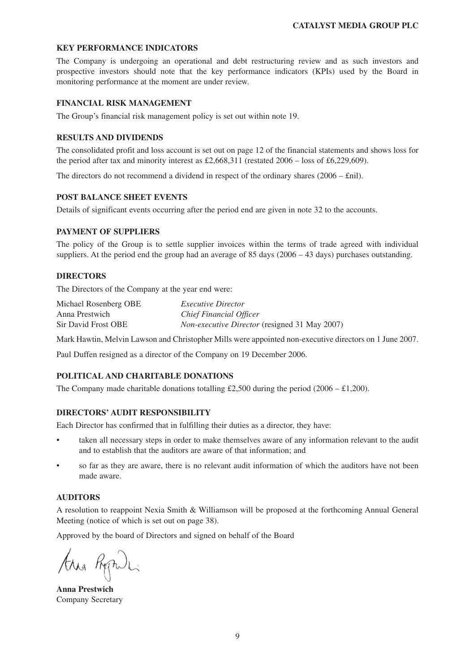## **KEY PERFORMANCE INDICATORS**

The Company is undergoing an operational and debt restructuring review and as such investors and prospective investors should note that the key performance indicators (KPIs) used by the Board in monitoring performance at the moment are under review.

#### **FINANCIAL RISK MANAGEMENT**

The Group's financial risk management policy is set out within note 19.

## **RESULTS AND DIVIDENDS**

The consolidated profit and loss account is set out on page 12 of the financial statements and shows loss for the period after tax and minority interest as £2,668,311 (restated 2006 – loss of £6,229,609).

The directors do not recommend a dividend in respect of the ordinary shares  $(2006 - \text{fnil})$ .

#### **POST BALANCE SHEET EVENTS**

Details of significant events occurring after the period end are given in note 32 to the accounts.

#### **PAYMENT OF SUPPLIERS**

The policy of the Group is to settle supplier invoices within the terms of trade agreed with individual suppliers. At the period end the group had an average of  $85$  days ( $2006 - 43$  days) purchases outstanding.

#### **DIRECTORS**

The Directors of the Company at the year end were:

| Michael Rosenberg OBE      | <i>Executive Director</i>                            |
|----------------------------|------------------------------------------------------|
| Anna Prestwich             | Chief Financial Officer                              |
| <b>Sir David Frost OBE</b> | <i>Non-executive Director</i> (resigned 31 May 2007) |

Mark Hawtin, Melvin Lawson and Christopher Mills were appointed non-executive directors on 1 June 2007.

Paul Duffen resigned as a director of the Company on 19 December 2006.

## **POLITICAL AND CHARITABLE DONATIONS**

The Company made charitable donations totalling £2,500 during the period  $(2006 - \text{\textsterling}1,200)$ .

#### **DIRECTORS' AUDIT RESPONSIBILITY**

Each Director has confirmed that in fulfilling their duties as a director, they have:

- taken all necessary steps in order to make themselves aware of any information relevant to the audit and to establish that the auditors are aware of that information; and
- so far as they are aware, there is no relevant audit information of which the auditors have not been made aware.

#### **AUDITORS**

A resolution to reappoint Nexia Smith & Williamson will be proposed at the forthcoming Annual General Meeting (notice of which is set out on page 38).

Approved by the board of Directors and signed on behalf of the Board

Arra Republi

**Anna Prestwich** Company Secretary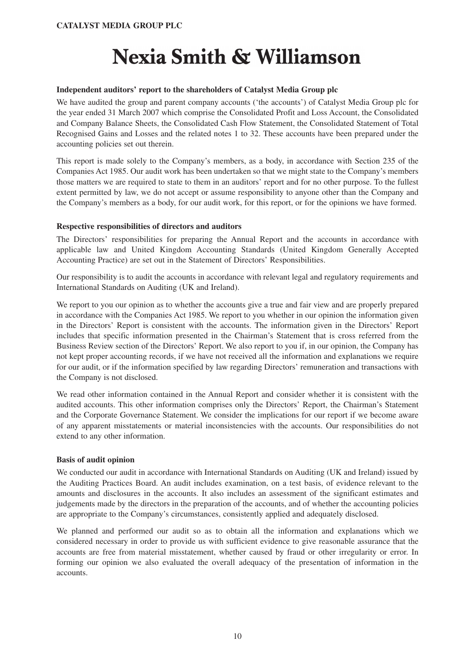# **Nexia Smith & Williamson**

#### **Independent auditors' report to the shareholders of Catalyst Media Group plc**

We have audited the group and parent company accounts ('the accounts') of Catalyst Media Group plc for the year ended 31 March 2007 which comprise the Consolidated Profit and Loss Account, the Consolidated and Company Balance Sheets, the Consolidated Cash Flow Statement, the Consolidated Statement of Total Recognised Gains and Losses and the related notes 1 to 32. These accounts have been prepared under the accounting policies set out therein.

This report is made solely to the Company's members, as a body, in accordance with Section 235 of the Companies Act 1985. Our audit work has been undertaken so that we might state to the Company's members those matters we are required to state to them in an auditors' report and for no other purpose. To the fullest extent permitted by law, we do not accept or assume responsibility to anyone other than the Company and the Company's members as a body, for our audit work, for this report, or for the opinions we have formed.

#### **Respective responsibilities of directors and auditors**

The Directors' responsibilities for preparing the Annual Report and the accounts in accordance with applicable law and United Kingdom Accounting Standards (United Kingdom Generally Accepted Accounting Practice) are set out in the Statement of Directors' Responsibilities.

Our responsibility is to audit the accounts in accordance with relevant legal and regulatory requirements and International Standards on Auditing (UK and Ireland).

We report to you our opinion as to whether the accounts give a true and fair view and are properly prepared in accordance with the Companies Act 1985. We report to you whether in our opinion the information given in the Directors' Report is consistent with the accounts. The information given in the Directors' Report includes that specific information presented in the Chairman's Statement that is cross referred from the Business Review section of the Directors' Report. We also report to you if, in our opinion, the Company has not kept proper accounting records, if we have not received all the information and explanations we require for our audit, or if the information specified by law regarding Directors' remuneration and transactions with the Company is not disclosed.

We read other information contained in the Annual Report and consider whether it is consistent with the audited accounts. This other information comprises only the Directors' Report, the Chairman's Statement and the Corporate Governance Statement. We consider the implications for our report if we become aware of any apparent misstatements or material inconsistencies with the accounts. Our responsibilities do not extend to any other information.

#### **Basis of audit opinion**

We conducted our audit in accordance with International Standards on Auditing (UK and Ireland) issued by the Auditing Practices Board. An audit includes examination, on a test basis, of evidence relevant to the amounts and disclosures in the accounts. It also includes an assessment of the significant estimates and judgements made by the directors in the preparation of the accounts, and of whether the accounting policies are appropriate to the Company's circumstances, consistently applied and adequately disclosed.

We planned and performed our audit so as to obtain all the information and explanations which we considered necessary in order to provide us with sufficient evidence to give reasonable assurance that the accounts are free from material misstatement, whether caused by fraud or other irregularity or error. In forming our opinion we also evaluated the overall adequacy of the presentation of information in the accounts.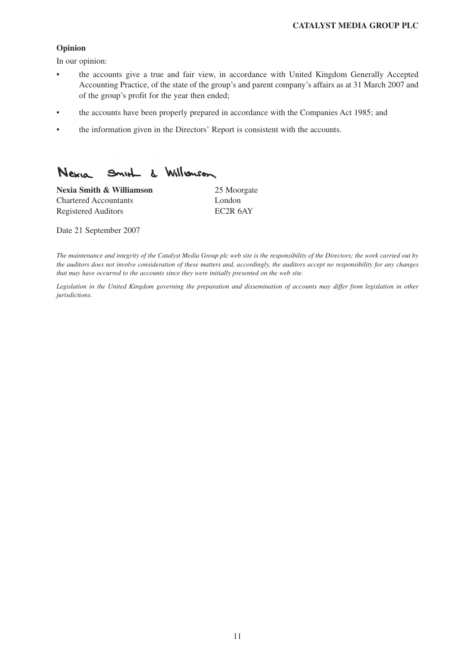## **Opinion**

In our opinion:

- the accounts give a true and fair view, in accordance with United Kingdom Generally Accepted Accounting Practice, of the state of the group's and parent company's affairs as at 31 March 2007 and of the group's profit for the year then ended;
- the accounts have been properly prepared in accordance with the Companies Act 1985; and
- the information given in the Directors' Report is consistent with the accounts.

Nexia Smut & Williamson

**Nexia Smith & Williamson** 25 Moorgate Chartered Accountants London Registered Auditors EC2R 6AY

Date 21 September 2007

*The maintenance and integrity of the Catalyst Media Group plc web site is the responsibility of the Directors; the work carried out by the auditors does not involve consideration of these matters and, accordingly, the auditors accept no responsibility for any changes that may have occurred to the accounts since they were initially presented on the web site.*

*Legislation in the United Kingdom governing the preparation and dissemination of accounts may differ from legislation in other jurisdictions.*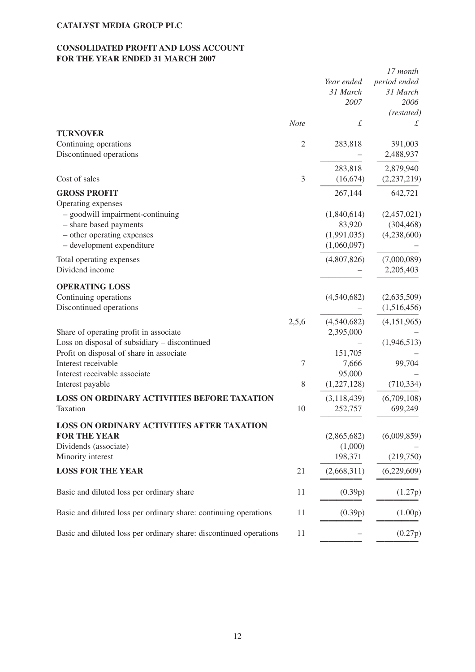## **CONSOLIDATED PROFIT AND LOSS ACCOUNT FOR THE YEAR ENDED 31 MARCH 2007**

|                                                                    |                |                                | 17 month                         |
|--------------------------------------------------------------------|----------------|--------------------------------|----------------------------------|
|                                                                    |                | Year ended<br>31 March<br>2007 | period ended<br>31 March<br>2006 |
|                                                                    |                |                                | (restated)                       |
| <b>TURNOVER</b>                                                    | <b>Note</b>    | £                              | £                                |
| Continuing operations                                              | $\mathfrak{2}$ | 283,818                        | 391,003                          |
| Discontinued operations                                            |                |                                | 2,488,937                        |
|                                                                    |                | 283,818                        | 2,879,940                        |
| Cost of sales                                                      | 3              | (16, 674)                      | (2, 237, 219)                    |
| <b>GROSS PROFIT</b>                                                |                | 267,144                        | 642,721                          |
| Operating expenses                                                 |                |                                |                                  |
| - goodwill impairment-continuing                                   |                | (1,840,614)<br>83,920          | (2,457,021)                      |
| - share based payments<br>- other operating expenses               |                | (1,991,035)                    | (304, 468)<br>(4,238,600)        |
| - development expenditure                                          |                | (1,060,097)                    |                                  |
| Total operating expenses                                           |                | (4,807,826)                    | (7,000,089)                      |
| Dividend income                                                    |                |                                | 2,205,403                        |
| <b>OPERATING LOSS</b>                                              |                |                                |                                  |
| Continuing operations                                              |                | (4,540,682)                    | (2,635,509)                      |
| Discontinued operations                                            |                |                                | (1,516,456)                      |
|                                                                    | 2,5,6          | (4,540,682)                    | (4,151,965)                      |
| Share of operating profit in associate                             |                | 2,395,000                      |                                  |
| Loss on disposal of subsidiary - discontinued                      |                |                                | (1,946,513)                      |
| Profit on disposal of share in associate                           |                | 151,705                        |                                  |
| Interest receivable<br>Interest receivable associate               | $\overline{7}$ | 7,666<br>95,000                | 99,704                           |
| Interest payable                                                   | 8              | (1,227,128)                    | (710, 334)                       |
| <b>LOSS ON ORDINARY ACTIVITIES BEFORE TAXATION</b>                 |                | (3, 118, 439)                  | (6,709,108)                      |
| Taxation                                                           | 10             | 252,757                        | 699,249                          |
| LOSS ON ORDINARY ACTIVITIES AFTER TAXATION                         |                |                                |                                  |
| <b>FOR THE YEAR</b>                                                |                | (2,865,682)                    | (6,009,859)                      |
| Dividends (associate)                                              |                | (1,000)                        |                                  |
| Minority interest                                                  |                | 198,371                        | (219,750)                        |
| <b>LOSS FOR THE YEAR</b>                                           | 21             | (2,668,311)                    | (6,229,609)                      |
| Basic and diluted loss per ordinary share                          | 11             | (0.39p)                        | (1.27p)                          |
| Basic and diluted loss per ordinary share: continuing operations   | 11             | (0.39p)                        | (1.00p)                          |
| Basic and diluted loss per ordinary share: discontinued operations | 11             |                                | (0.27p)                          |
|                                                                    |                |                                |                                  |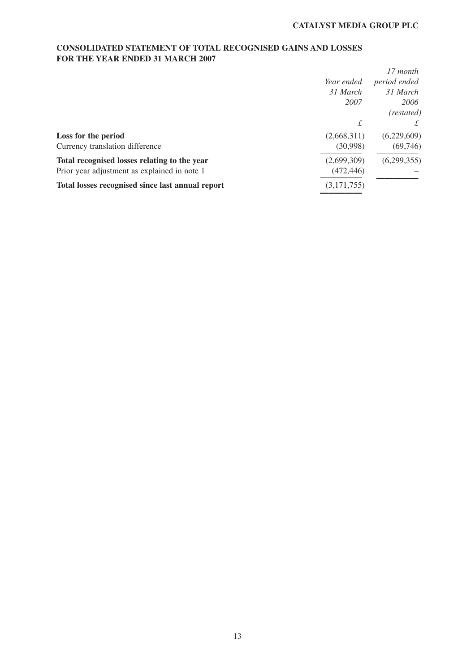—————

## **CONSOLIDATED STATEMENT OF TOTAL RECOGNISED GAINS AND LOSSES FOR THE YEAR ENDED 31 MARCH 2007**

| 17 month     |
|--------------|
| period ended |
| 31 March     |
| 2006         |
| (restated)   |
| £            |
| (6,229,609)  |
| (69,746)     |
| (6,299,355)  |
|              |
|              |
|              |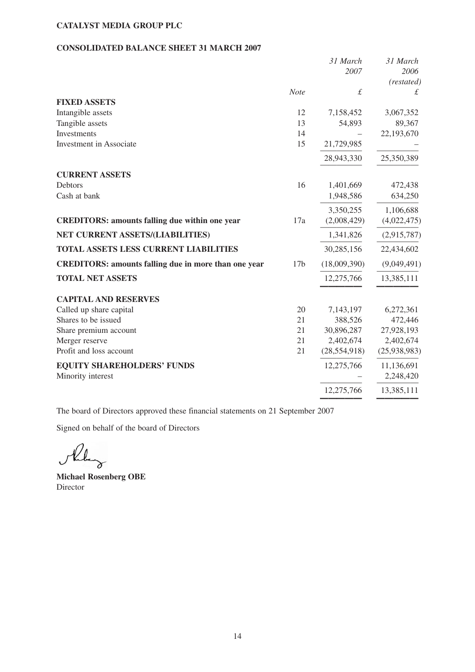## **CONSOLIDATED BALANCE SHEET 31 MARCH 2007**

|                                                             |                 | 31 March<br>2007 | 31 March<br>2006<br>(restated) |
|-------------------------------------------------------------|-----------------|------------------|--------------------------------|
|                                                             | <b>Note</b>     | $\pounds$        | £                              |
| <b>FIXED ASSETS</b>                                         |                 |                  |                                |
| Intangible assets                                           | 12              | 7,158,452        | 3,067,352                      |
| Tangible assets                                             | 13              | 54,893           | 89,367                         |
| Investments                                                 | 14              |                  | 22,193,670                     |
| Investment in Associate                                     | 15              | 21,729,985       |                                |
|                                                             |                 | 28,943,330       | 25,350,389                     |
| <b>CURRENT ASSETS</b>                                       |                 |                  |                                |
| <b>Debtors</b>                                              | 16              | 1,401,669        | 472,438                        |
| Cash at bank                                                |                 | 1,948,586        | 634,250                        |
|                                                             |                 | 3,350,255        | 1,106,688                      |
| <b>CREDITORS: amounts falling due within one year</b>       | 17a             | (2,008,429)      | (4,022,475)                    |
| NET CURRENT ASSETS/(LIABILITIES)                            |                 | 1,341,826        | (2,915,787)                    |
| <b>TOTAL ASSETS LESS CURRENT LIABILITIES</b>                |                 | 30,285,156       | 22,434,602                     |
| <b>CREDITORS: amounts falling due in more than one year</b> | 17 <sub>b</sub> | (18,009,390)     | (9,049,491)                    |
| <b>TOTAL NET ASSETS</b>                                     |                 | 12,275,766       | 13,385,111                     |
| <b>CAPITAL AND RESERVES</b>                                 |                 |                  |                                |
| Called up share capital                                     | 20              | 7,143,197        | 6,272,361                      |
| Shares to be issued                                         | 21              | 388,526          | 472,446                        |
| Share premium account                                       | 21              | 30,896,287       | 27,928,193                     |
| Merger reserve                                              | 21              | 2,402,674        | 2,402,674                      |
| Profit and loss account                                     | 21              | (28, 554, 918)   | (25,938,983)                   |
| <b>EQUITY SHAREHOLDERS' FUNDS</b>                           |                 | 12,275,766       | 11,136,691                     |
| Minority interest                                           |                 |                  | 2,248,420                      |
|                                                             |                 | 12,275,766       | 13,385,111                     |

————— —————

The board of Directors approved these financial statements on 21 September 2007

Signed on behalf of the board of Directors

Kh  $\bigcup$  $\chi$ 

**Michael Rosenberg OBE** Director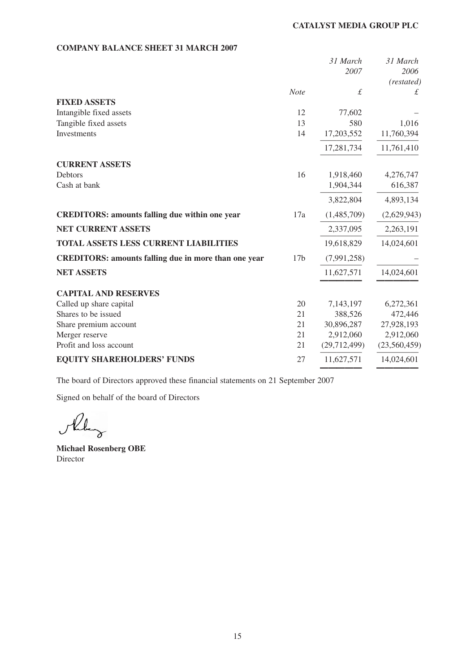## **COMPANY BALANCE SHEET 31 MARCH 2007**

|                                                             |                 | 31 March     | 31 March        |
|-------------------------------------------------------------|-----------------|--------------|-----------------|
|                                                             |                 | 2007         | 2006            |
|                                                             | <b>Note</b>     | $\pounds$    | (restated)<br>£ |
| <b>FIXED ASSETS</b>                                         |                 |              |                 |
| Intangible fixed assets                                     | 12              | 77,602       |                 |
| Tangible fixed assets                                       | 13              | 580          | 1,016           |
| Investments                                                 | 14              | 17,203,552   | 11,760,394      |
|                                                             |                 | 17,281,734   | 11,761,410      |
| <b>CURRENT ASSETS</b>                                       |                 |              |                 |
| Debtors                                                     | 16              | 1,918,460    | 4,276,747       |
| Cash at bank                                                |                 | 1,904,344    | 616,387         |
|                                                             |                 | 3,822,804    | 4,893,134       |
| <b>CREDITORS: amounts falling due within one year</b>       | 17a             | (1,485,709)  | (2,629,943)     |
| <b>NET CURRENT ASSETS</b>                                   |                 | 2,337,095    | 2,263,191       |
| TOTAL ASSETS LESS CURRENT LIABILITIES                       |                 | 19,618,829   | 14,024,601      |
| <b>CREDITORS: amounts falling due in more than one year</b> | 17 <sub>b</sub> | (7,991,258)  |                 |
| <b>NET ASSETS</b>                                           |                 | 11,627,571   | 14,024,601      |
| <b>CAPITAL AND RESERVES</b>                                 |                 |              |                 |
| Called up share capital                                     | 20              | 7,143,197    | 6,272,361       |
| Shares to be issued                                         | 21              | 388,526      | 472,446         |
| Share premium account                                       | 21              | 30,896,287   | 27,928,193      |
| Merger reserve                                              | 21              | 2,912,060    | 2,912,060       |
| Profit and loss account                                     | 21              | (29,712,499) | (23, 560, 459)  |
| <b>EQUITY SHAREHOLDERS' FUNDS</b>                           | 27              | 11,627,571   | 14,024,601      |
|                                                             |                 |              |                 |

The board of Directors approved these financial statements on 21 September 2007

Signed on behalf of the board of Directors

Rho  $\overline{J}$ 

**Michael Rosenberg OBE** Director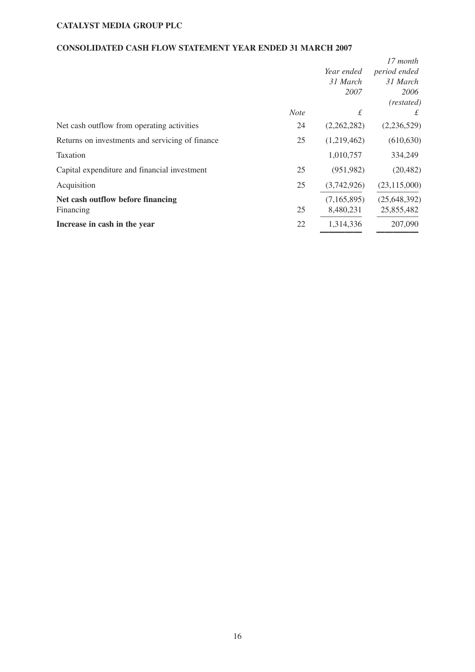## **CONSOLIDATED CASH FLOW STATEMENT YEAR ENDED 31 MARCH 2007**

|                                                 |             |             | 17 month       |
|-------------------------------------------------|-------------|-------------|----------------|
|                                                 |             | Year ended  | period ended   |
|                                                 |             | 31 March    | 31 March       |
|                                                 |             | 2007        | 2006           |
|                                                 |             |             | (restated)     |
|                                                 | <b>Note</b> | $\pounds$   |                |
| Net cash outflow from operating activities      | 24          | (2,262,282) | (2,236,529)    |
| Returns on investments and servicing of finance | 25          | (1,219,462) | (610, 630)     |
| Taxation                                        |             | 1,010,757   | 334,249        |
| Capital expenditure and financial investment    | 25          | (951, 982)  | (20, 482)      |
| Acquisition                                     | 25          | (3,742,926) | (23, 115, 000) |
| Net cash outflow before financing               |             | (7,165,895) | (25, 648, 392) |
| Financing                                       | 25          | 8,480,231   | 25,855,482     |
| Increase in cash in the year                    | 22          | 1,314,336   | 207,090        |
|                                                 |             |             |                |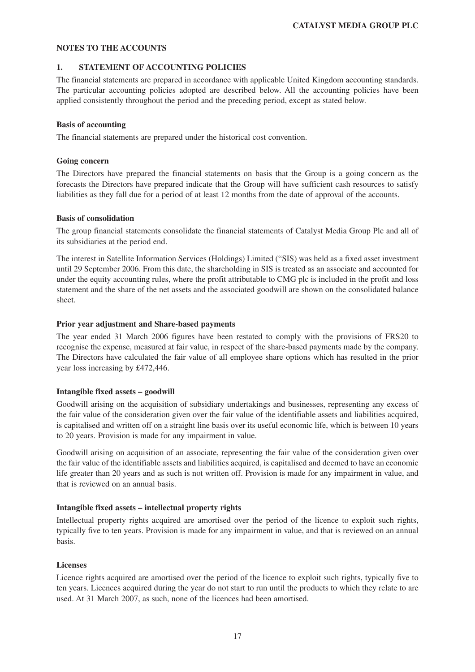## **NOTES TO THE ACCOUNTS**

## **1. STATEMENT OF ACCOUNTING POLICIES**

The financial statements are prepared in accordance with applicable United Kingdom accounting standards. The particular accounting policies adopted are described below. All the accounting policies have been applied consistently throughout the period and the preceding period, except as stated below.

## **Basis of accounting**

The financial statements are prepared under the historical cost convention.

#### **Going concern**

The Directors have prepared the financial statements on basis that the Group is a going concern as the forecasts the Directors have prepared indicate that the Group will have sufficient cash resources to satisfy liabilities as they fall due for a period of at least 12 months from the date of approval of the accounts.

#### **Basis of consolidation**

The group financial statements consolidate the financial statements of Catalyst Media Group Plc and all of its subsidiaries at the period end.

The interest in Satellite Information Services (Holdings) Limited ("SIS) was held as a fixed asset investment until 29 September 2006. From this date, the shareholding in SIS is treated as an associate and accounted for under the equity accounting rules, where the profit attributable to CMG plc is included in the profit and loss statement and the share of the net assets and the associated goodwill are shown on the consolidated balance sheet.

#### **Prior year adjustment and Share-based payments**

The year ended 31 March 2006 figures have been restated to comply with the provisions of FRS20 to recognise the expense, measured at fair value, in respect of the share-based payments made by the company. The Directors have calculated the fair value of all employee share options which has resulted in the prior year loss increasing by £472,446.

## **Intangible fixed assets – goodwill**

Goodwill arising on the acquisition of subsidiary undertakings and businesses, representing any excess of the fair value of the consideration given over the fair value of the identifiable assets and liabilities acquired, is capitalised and written off on a straight line basis over its useful economic life, which is between 10 years to 20 years. Provision is made for any impairment in value.

Goodwill arising on acquisition of an associate, representing the fair value of the consideration given over the fair value of the identifiable assets and liabilities acquired, is capitalised and deemed to have an economic life greater than 20 years and as such is not written off. Provision is made for any impairment in value, and that is reviewed on an annual basis.

## **Intangible fixed assets – intellectual property rights**

Intellectual property rights acquired are amortised over the period of the licence to exploit such rights, typically five to ten years. Provision is made for any impairment in value, and that is reviewed on an annual basis.

## **Licenses**

Licence rights acquired are amortised over the period of the licence to exploit such rights, typically five to ten years. Licences acquired during the year do not start to run until the products to which they relate to are used. At 31 March 2007, as such, none of the licences had been amortised.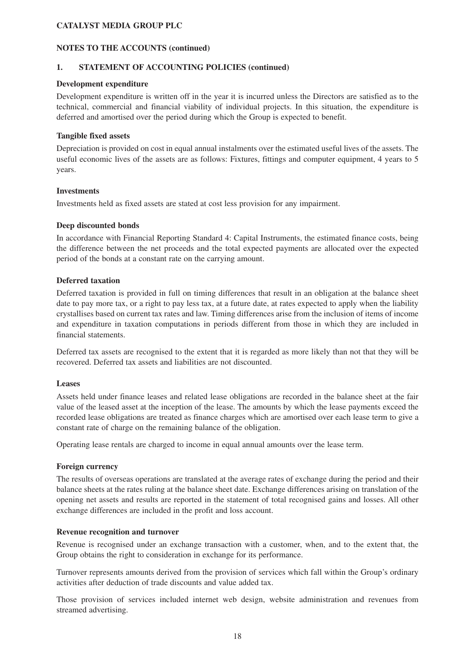## **NOTES TO THE ACCOUNTS (continued)**

## **1. STATEMENT OF ACCOUNTING POLICIES (continued)**

#### **Development expenditure**

Development expenditure is written off in the year it is incurred unless the Directors are satisfied as to the technical, commercial and financial viability of individual projects. In this situation, the expenditure is deferred and amortised over the period during which the Group is expected to benefit.

## **Tangible fixed assets**

Depreciation is provided on cost in equal annual instalments over the estimated useful lives of the assets. The useful economic lives of the assets are as follows: Fixtures, fittings and computer equipment, 4 years to 5 years.

#### **Investments**

Investments held as fixed assets are stated at cost less provision for any impairment.

#### **Deep discounted bonds**

In accordance with Financial Reporting Standard 4: Capital Instruments, the estimated finance costs, being the difference between the net proceeds and the total expected payments are allocated over the expected period of the bonds at a constant rate on the carrying amount.

#### **Deferred taxation**

Deferred taxation is provided in full on timing differences that result in an obligation at the balance sheet date to pay more tax, or a right to pay less tax, at a future date, at rates expected to apply when the liability crystallises based on current tax rates and law. Timing differences arise from the inclusion of items of income and expenditure in taxation computations in periods different from those in which they are included in financial statements.

Deferred tax assets are recognised to the extent that it is regarded as more likely than not that they will be recovered. Deferred tax assets and liabilities are not discounted.

## **Leases**

Assets held under finance leases and related lease obligations are recorded in the balance sheet at the fair value of the leased asset at the inception of the lease. The amounts by which the lease payments exceed the recorded lease obligations are treated as finance charges which are amortised over each lease term to give a constant rate of charge on the remaining balance of the obligation.

Operating lease rentals are charged to income in equal annual amounts over the lease term.

#### **Foreign currency**

The results of overseas operations are translated at the average rates of exchange during the period and their balance sheets at the rates ruling at the balance sheet date. Exchange differences arising on translation of the opening net assets and results are reported in the statement of total recognised gains and losses. All other exchange differences are included in the profit and loss account.

## **Revenue recognition and turnover**

Revenue is recognised under an exchange transaction with a customer, when, and to the extent that, the Group obtains the right to consideration in exchange for its performance.

Turnover represents amounts derived from the provision of services which fall within the Group's ordinary activities after deduction of trade discounts and value added tax.

Those provision of services included internet web design, website administration and revenues from streamed advertising.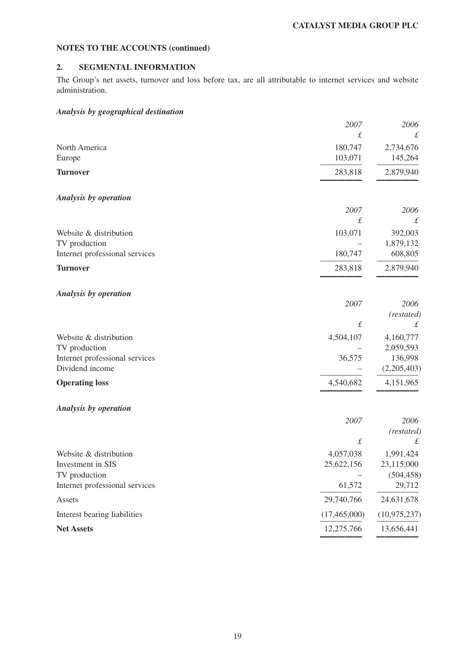## **2. SEGMENTAL INFORMATION**

The Group's net assets, turnover and loss before tax, are all attributable to internet services and website administration.

## *Analysis by geographical destination*

|                                | 2007           | 2006           |
|--------------------------------|----------------|----------------|
|                                | $\pounds$      | £              |
| North America                  | 180,747        | 2,734,676      |
| Europe                         | 103,071        | 145,264        |
| <b>Turnover</b>                | 283,818        | 2,879,940      |
| <b>Analysis by operation</b>   |                |                |
|                                | 2007           | 2006           |
|                                | $\pounds$      | £              |
| Website & distribution         | 103,071        | 392,003        |
| TV production                  |                | 1,879,132      |
| Internet professional services | 180,747        | 608,805        |
| <b>Turnover</b>                | 283,818        | 2,879,940      |
| <b>Analysis by operation</b>   |                |                |
|                                | 2007           | 2006           |
|                                |                | (restated)     |
|                                | $\pounds$      | £              |
| Website & distribution         | 4,504,107      | 4,160,777      |
| TV production                  |                | 2,059,593      |
| Internet professional services | 36,575         | 136,998        |
| Dividend income                |                | (2,205,403)    |
| <b>Operating loss</b>          | 4,540,682      | 4,151,965      |
| <b>Analysis by operation</b>   |                |                |
|                                | 2007           | 2006           |
|                                |                | (restated)     |
|                                | $\pounds$      | £              |
| Website & distribution         | 4,057,038      | 1,991,424      |
| Investment in SIS              | 25,622,156     | 23,115,000     |
| TV production                  |                | (504, 458)     |
| Internet professional services | 61,572         | 29,712         |
| Assets                         | 29,740,766     | 24,631,678     |
| Interest bearing liabilities   | (17, 465, 000) | (10, 975, 237) |
| <b>Net Assets</b>              | 12,275,766     | 13,656,441     |
|                                |                |                |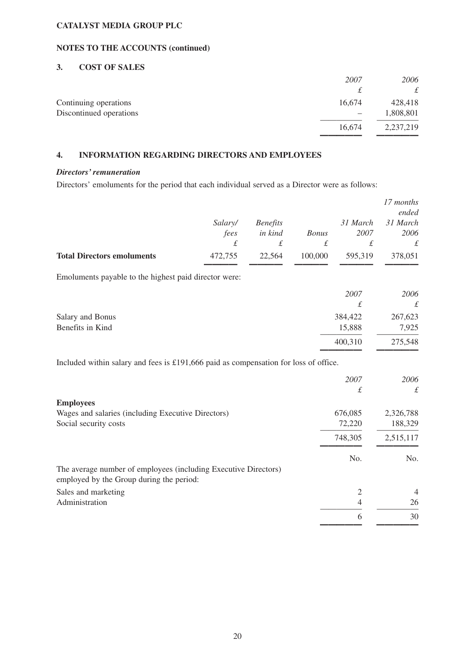## **NOTES TO THE ACCOUNTS (continued)**

## **3. COST OF SALES**

|                         | 2007   | 2006        |
|-------------------------|--------|-------------|
|                         |        | $f_{\cdot}$ |
| Continuing operations   | 16,674 | 428,418     |
| Discontinued operations | —      | 1,808,801   |
|                         | 16,674 | 2,237,219   |
|                         |        |             |

## **4. INFORMATION REGARDING DIRECTORS AND EMPLOYEES**

## *Directors' remuneration*

Directors' emoluments for the period that each individual served as a Director were as follows:

|                                                                                                             |         |                 |              |                | 17 months      |
|-------------------------------------------------------------------------------------------------------------|---------|-----------------|--------------|----------------|----------------|
|                                                                                                             |         |                 |              |                | ended          |
|                                                                                                             | Salary/ | <b>Benefits</b> |              | 31 March       | 31 March       |
|                                                                                                             | fees    | in kind         | <b>Bonus</b> | 2007           | 2006           |
|                                                                                                             | £       | £               | $\pounds$    | $\mathcal{L}$  | £              |
| <b>Total Directors emoluments</b>                                                                           | 472,755 | 22,564          | 100,000      | 595,319        | 378,051        |
| Emoluments payable to the highest paid director were:                                                       |         |                 |              |                |                |
|                                                                                                             |         |                 |              | 2007           | 2006           |
|                                                                                                             |         |                 |              | $\pounds$      | $\pounds$      |
| Salary and Bonus                                                                                            |         |                 |              | 384,422        | 267,623        |
| Benefits in Kind                                                                                            |         |                 |              | 15,888         | 7,925          |
|                                                                                                             |         |                 |              | 400,310        | 275,548        |
| Included within salary and fees is $£191,666$ paid as compensation for loss of office.                      |         |                 |              |                |                |
|                                                                                                             |         |                 |              | 2007           | 2006           |
|                                                                                                             |         |                 |              | $\pounds$      | $\pounds$      |
| <b>Employees</b>                                                                                            |         |                 |              |                |                |
| Wages and salaries (including Executive Directors)                                                          |         |                 |              | 676,085        | 2,326,788      |
| Social security costs                                                                                       |         |                 |              | 72,220         | 188,329        |
|                                                                                                             |         |                 |              | 748,305        | 2,515,117      |
|                                                                                                             |         |                 |              | No.            | No.            |
| The average number of employees (including Executive Directors)<br>employed by the Group during the period: |         |                 |              |                |                |
| Sales and marketing                                                                                         |         |                 |              | $\overline{2}$ | $\overline{4}$ |
| Administration                                                                                              |         |                 |              | $\overline{4}$ | 26             |
|                                                                                                             |         |                 |              | 6              | 30             |

————— —————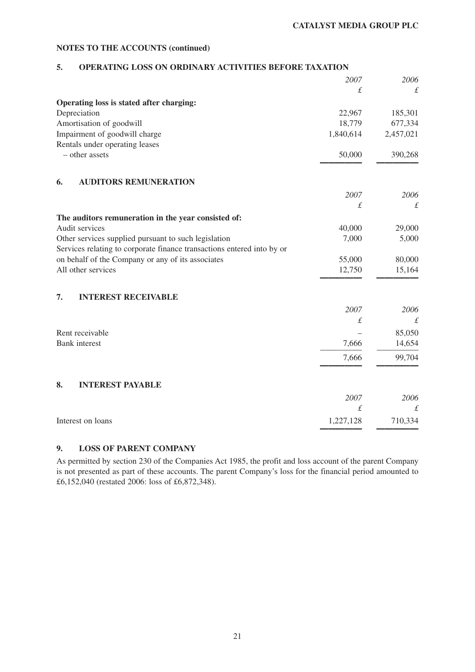————— —————

## **NOTES TO THE ACCOUNTS (continued)**

## **5. OPERATING LOSS ON ORDINARY ACTIVITIES BEFORE TAXATION**

|                                                                        | 2007              | 2006              |
|------------------------------------------------------------------------|-------------------|-------------------|
|                                                                        | £                 | £                 |
| Operating loss is stated after charging:                               |                   |                   |
| Depreciation                                                           | 22,967            | 185,301           |
| Amortisation of goodwill                                               | 18,779            | 677,334           |
| Impairment of goodwill charge                                          | 1,840,614         | 2,457,021         |
| Rentals under operating leases                                         |                   |                   |
| - other assets                                                         | 50,000            | 390,268           |
| <b>AUDITORS REMUNERATION</b><br>6.                                     |                   |                   |
|                                                                        | 2007              | 2006              |
|                                                                        | $\pounds$         | $\pounds$         |
| The auditors remuneration in the year consisted of:                    |                   |                   |
| Audit services                                                         | 40,000            | 29,000            |
| Other services supplied pursuant to such legislation                   | 7,000             | 5,000             |
| Services relating to corporate finance transactions entered into by or |                   |                   |
| on behalf of the Company or any of its associates                      | 55,000            | 80,000            |
| All other services                                                     | 12,750            | 15,164            |
| 7.<br><b>INTEREST RECEIVABLE</b>                                       |                   |                   |
|                                                                        |                   |                   |
|                                                                        | 2007<br>$\pounds$ | 2006<br>$\pounds$ |
|                                                                        |                   |                   |
| Rent receivable                                                        |                   | 85,050            |
| <b>Bank</b> interest                                                   | 7,666             | 14,654            |
|                                                                        | 7,666             | 99,704            |
| 8.<br><b>INTEREST PAYABLE</b>                                          |                   |                   |
|                                                                        | 2007              | 2006              |
|                                                                        | £                 | £                 |
|                                                                        |                   | 710,334           |
| Interest on loans                                                      | 1,227,128         |                   |

#### **9. LOSS OF PARENT COMPANY**

As permitted by section 230 of the Companies Act 1985, the profit and loss account of the parent Company is not presented as part of these accounts. The parent Company's loss for the financial period amounted to £6,152,040 (restated 2006: loss of £6,872,348).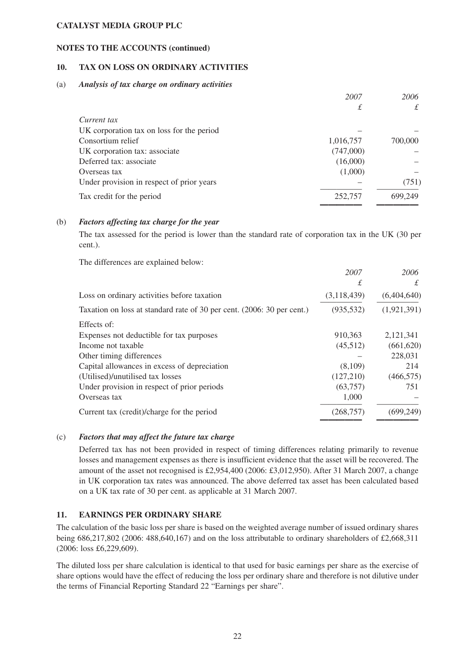## **NOTES TO THE ACCOUNTS (continued)**

#### **10. TAX ON LOSS ON ORDINARY ACTIVITIES**

#### (a) *Analysis of tax charge on ordinary activities*

|                                           | 2007      | 2006    |
|-------------------------------------------|-----------|---------|
|                                           | £         | £       |
| Current tax                               |           |         |
| UK corporation tax on loss for the period |           |         |
| Consortium relief                         | 1,016,757 | 700,000 |
| UK corporation tax: associate             | (747,000) |         |
| Deferred tax: associate                   | (16,000)  |         |
| Overseas tax                              | (1,000)   |         |
| Under provision in respect of prior years |           | (751)   |
| Tax credit for the period                 | 252,757   | 699,249 |
|                                           |           |         |

#### (b) *Factors affecting tax charge for the year*

The tax assessed for the period is lower than the standard rate of corporation tax in the UK (30 per cent.).

The differences are explained below:

|                                                                        | 2007          | 2006        |
|------------------------------------------------------------------------|---------------|-------------|
|                                                                        | £             | £           |
| Loss on ordinary activities before taxation                            | (3, 118, 439) | (6,404,640) |
| Taxation on loss at standard rate of 30 per cent. (2006: 30 per cent.) | (935, 532)    | (1,921,391) |
| Effects of:                                                            |               |             |
| Expenses not deductible for tax purposes                               | 910,363       | 2,121,341   |
| Income not taxable                                                     | (45,512)      | (661,620)   |
| Other timing differences                                               |               | 228,031     |
| Capital allowances in excess of depreciation                           | (8,109)       | 214         |
| (Utilised)/unutilised tax losses                                       | (127,210)     | (466, 575)  |
| Under provision in respect of prior periods                            | (63,757)      | 751         |
| Overseas tax                                                           | 1,000         |             |
| Current tax (credit)/charge for the period                             | (268,757)     | (699.249)   |
|                                                                        |               |             |

## (c) *Factors that may affect the future tax charge*

Deferred tax has not been provided in respect of timing differences relating primarily to revenue losses and management expenses as there is insufficient evidence that the asset will be recovered. The amount of the asset not recognised is £2,954,400 (2006: £3,012,950). After 31 March 2007, a change in UK corporation tax rates was announced. The above deferred tax asset has been calculated based on a UK tax rate of 30 per cent. as applicable at 31 March 2007.

## **11. EARNINGS PER ORDINARY SHARE**

The calculation of the basic loss per share is based on the weighted average number of issued ordinary shares being 686,217,802 (2006: 488,640,167) and on the loss attributable to ordinary shareholders of £2,668,311 (2006: loss £6,229,609).

The diluted loss per share calculation is identical to that used for basic earnings per share as the exercise of share options would have the effect of reducing the loss per ordinary share and therefore is not dilutive under the terms of Financial Reporting Standard 22 "Earnings per share".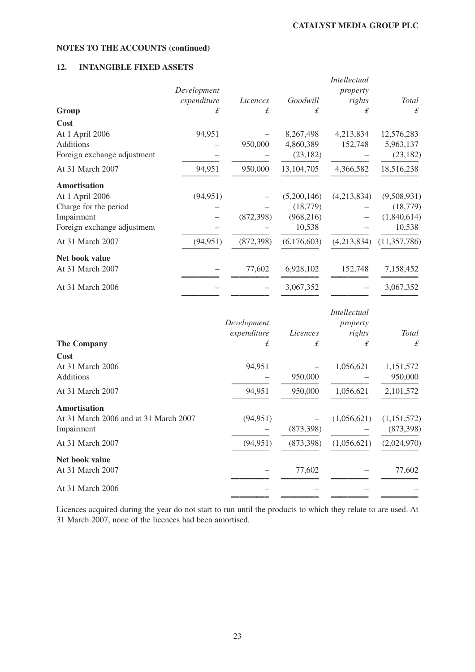## **12. INTANGIBLE FIXED ASSETS**

| Group                       | Development<br>expenditure<br>£ | Licences<br>£ | Goodwill<br>£ | <i>Intellectual</i><br>property<br>rights<br>£ | Total<br>$f_{\cdot}$ |
|-----------------------------|---------------------------------|---------------|---------------|------------------------------------------------|----------------------|
| Cost                        |                                 |               |               |                                                |                      |
| At 1 April 2006             | 94,951                          |               | 8,267,498     | 4,213,834                                      | 12,576,283           |
| <b>Additions</b>            |                                 | 950,000       | 4,860,389     | 152,748                                        | 5,963,137            |
| Foreign exchange adjustment |                                 |               | (23, 182)     |                                                | (23, 182)            |
| At 31 March 2007            | 94,951                          | 950,000       | 13,104,705    | 4,366,582                                      | 18,516,238           |
| Amortisation                |                                 |               |               |                                                |                      |
| At 1 April 2006             | (94, 951)                       |               | (5,200,146)   | (4,213,834)                                    | (9,508,931)          |
| Charge for the period       |                                 |               | (18, 779)     |                                                | (18, 779)            |
| Impairment                  |                                 | (872, 398)    | (968, 216)    |                                                | (1,840,614)          |
| Foreign exchange adjustment |                                 |               | 10,538        |                                                | 10,538               |
| At 31 March 2007            | (94, 951)                       | (872, 398)    | (6,176,603)   | (4,213,834)                                    | (11, 357, 786)       |
| Net book value              |                                 |               |               |                                                |                      |
| At 31 March 2007            |                                 | 77,602        | 6,928,102     | 152,748                                        | 7,158,452            |
| At 31 March 2006            |                                 |               | 3,067,352     |                                                | 3,067,352            |

| <b>The Company</b>                    | Development<br>expenditure<br>£ | Licences<br>£ | <i>Intellectual</i><br>property<br>rights<br>£ | <b>Total</b><br>£ |
|---------------------------------------|---------------------------------|---------------|------------------------------------------------|-------------------|
| Cost                                  |                                 |               |                                                |                   |
| At 31 March 2006                      | 94,951                          |               | 1,056,621                                      | 1,151,572         |
| <b>Additions</b>                      |                                 | 950,000       |                                                | 950,000           |
| At 31 March 2007                      | 94,951                          | 950,000       | 1,056,621                                      | 2,101,572         |
| Amortisation                          |                                 |               |                                                |                   |
| At 31 March 2006 and at 31 March 2007 | (94, 951)                       |               | (1,056,621)                                    | (1,151,572)       |
| Impairment                            |                                 | (873,398)     |                                                | (873, 398)        |
| At 31 March 2007                      | (94, 951)                       | (873, 398)    | (1,056,621)                                    | (2,024,970)       |
| Net book value                        |                                 |               |                                                |                   |
| At 31 March 2007                      |                                 | 77,602        |                                                | 77,602            |
| At 31 March 2006                      |                                 |               |                                                |                   |

————– ————– ————– ————– ————–

————– ————– ————– ————–

Licences acquired during the year do not start to run until the products to which they relate to are used. At 31 March 2007, none of the licences had been amortised.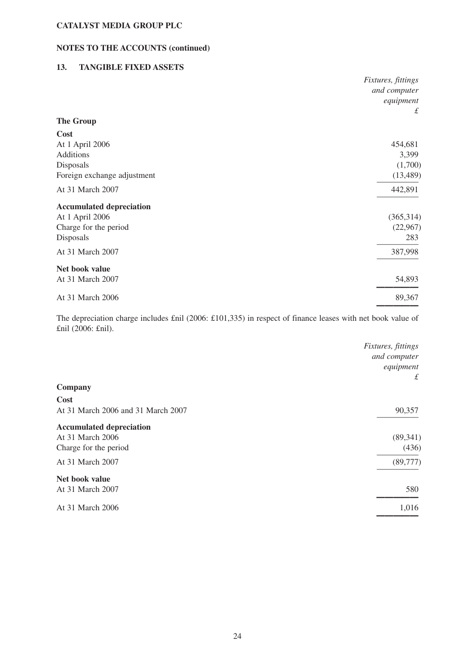## **NOTES TO THE ACCOUNTS (continued)**

## **13. TANGIBLE FIXED ASSETS**

|                                 | Fixtures, fittings |
|---------------------------------|--------------------|
|                                 | and computer       |
|                                 | equipment          |
|                                 | £                  |
| <b>The Group</b>                |                    |
| Cost                            |                    |
| At 1 April 2006                 | 454,681            |
| Additions                       | 3,399              |
| Disposals                       | (1,700)            |
| Foreign exchange adjustment     | (13, 489)          |
| At 31 March 2007                | 442,891            |
| <b>Accumulated depreciation</b> |                    |
| At 1 April 2006                 | (365,314)          |
| Charge for the period           | (22,967)           |
| Disposals                       | 283                |
| At 31 March 2007                | 387,998            |
| Net book value                  |                    |
| At 31 March 2007                | 54,893             |
| At 31 March 2006                | 89,367             |

The depreciation charge includes £nil (2006: £101,335) in respect of finance leases with net book value of £nil (2006: £nil).

—————

|                                    | Fixtures, fittings |
|------------------------------------|--------------------|
|                                    | and computer       |
|                                    | equipment          |
|                                    | £                  |
| Company                            |                    |
| Cost                               |                    |
| At 31 March 2006 and 31 March 2007 | 90,357             |
| <b>Accumulated depreciation</b>    |                    |
| At 31 March 2006                   | (89, 341)          |
| Charge for the period              | (436)              |
| At 31 March 2007                   | (89,777)           |
| Net book value                     |                    |
| At 31 March 2007                   | 580                |
| At 31 March 2006                   | 1,016              |
|                                    |                    |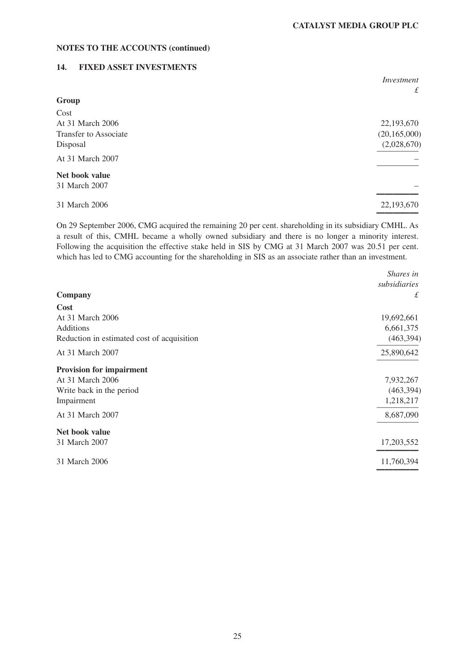—————

## **NOTES TO THE ACCOUNTS (continued)**

## **14. FIXED ASSET INVESTMENTS**

|                       | Investment     |
|-----------------------|----------------|
|                       | £              |
| Group                 |                |
| Cost                  |                |
| At 31 March 2006      | 22,193,670     |
| Transfer to Associate | (20, 165, 000) |
| Disposal              | (2,028,670)    |
| At 31 March 2007      |                |
| Net book value        |                |
| 31 March 2007         |                |
| 31 March 2006         | 22,193,670     |

On 29 September 2006, CMG acquired the remaining 20 per cent. shareholding in its subsidiary CMHL. As a result of this, CMHL became a wholly owned subsidiary and there is no longer a minority interest. Following the acquisition the effective stake held in SIS by CMG at 31 March 2007 was 20.51 per cent. which has led to CMG accounting for the shareholding in SIS as an associate rather than an investment.

|                                            | Shares in<br>subsidiaries |
|--------------------------------------------|---------------------------|
| <b>Company</b>                             | £                         |
| Cost                                       |                           |
| At 31 March 2006                           | 19,692,661                |
| <b>Additions</b>                           | 6,661,375                 |
| Reduction in estimated cost of acquisition | (463, 394)                |
| At 31 March 2007                           | 25,890,642                |
| <b>Provision for impairment</b>            |                           |
| At 31 March 2006                           | 7,932,267                 |
| Write back in the period                   | (463, 394)                |
| Impairment                                 | 1,218,217                 |
| At 31 March 2007                           | 8,687,090                 |
| Net book value                             |                           |
| 31 March 2007                              | 17,203,552                |
| 31 March 2006                              | 11,760,394                |
|                                            |                           |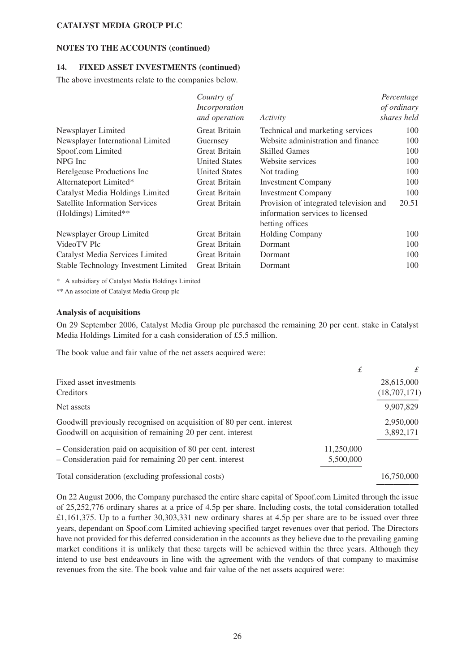## **NOTES TO THE ACCOUNTS (continued)**

#### **14. FIXED ASSET INVESTMENTS (continued)**

The above investments relate to the companies below.

|                                        | Country of           |                                        | Percentage  |
|----------------------------------------|----------------------|----------------------------------------|-------------|
|                                        | Incorporation        |                                        | of ordinary |
|                                        | and operation        | Activity                               | shares held |
| Newsplayer Limited                     | <b>Great Britain</b> | Technical and marketing services       | 100         |
| Newsplayer International Limited       | Guernsey             | Website administration and finance     | 100         |
| Spoof.com Limited                      | <b>Great Britain</b> | <b>Skilled Games</b>                   | 100         |
| NPG Inc                                | <b>United States</b> | Website services                       | 100         |
| Betelgeuse Productions Inc             | <b>United States</b> | Not trading                            | 100         |
| Alternateport Limited*                 | <b>Great Britain</b> | <b>Investment Company</b>              | 100         |
| Catalyst Media Holdings Limited        | <b>Great Britain</b> | <b>Investment Company</b>              | 100         |
| <b>Satellite Information Services</b>  | <b>Great Britain</b> | Provision of integrated television and | 20.51       |
| (Holdings) Limited**                   |                      | information services to licensed       |             |
|                                        |                      | betting offices                        |             |
| Newsplayer Group Limited               | <b>Great Britain</b> | <b>Holding Company</b>                 | 100         |
| VideoTV Plc                            | <b>Great Britain</b> | Dormant                                | 100         |
| <b>Catalyst Media Services Limited</b> | <b>Great Britain</b> | Dormant                                | 100         |
| Stable Technology Investment Limited   | <b>Great Britain</b> | Dormant                                | 100         |

\* A subsidiary of Catalyst Media Holdings Limited

\*\* An associate of Catalyst Media Group plc

#### **Analysis of acquisitions**

On 29 September 2006, Catalyst Media Group plc purchased the remaining 20 per cent. stake in Catalyst Media Holdings Limited for a cash consideration of £5.5 million.

The book value and fair value of the net assets acquired were:

|                                                                        | £          |              |
|------------------------------------------------------------------------|------------|--------------|
| Fixed asset investments                                                |            | 28,615,000   |
| Creditors                                                              |            | (18,707,171) |
| Net assets                                                             |            | 9,907,829    |
| Goodwill previously recognised on acquisition of 80 per cent. interest |            | 2,950,000    |
| Goodwill on acquisition of remaining 20 per cent. interest             |            | 3,892,171    |
| - Consideration paid on acquisition of 80 per cent. interest           | 11,250,000 |              |
| - Consideration paid for remaining 20 per cent. interest               | 5,500,000  |              |
| Total consideration (excluding professional costs)                     |            | 16,750,000   |

On 22 August 2006, the Company purchased the entire share capital of Spoof.com Limited through the issue of 25,252,776 ordinary shares at a price of 4.5p per share. Including costs, the total consideration totalled £1,161,375. Up to a further 30,303,331 new ordinary shares at 4.5p per share are to be issued over three years, dependant on Spoof.com Limited achieving specified target revenues over that period. The Directors have not provided for this deferred consideration in the accounts as they believe due to the prevailing gaming market conditions it is unlikely that these targets will be achieved within the three years. Although they intend to use best endeavours in line with the agreement with the vendors of that company to maximise revenues from the site. The book value and fair value of the net assets acquired were:

—————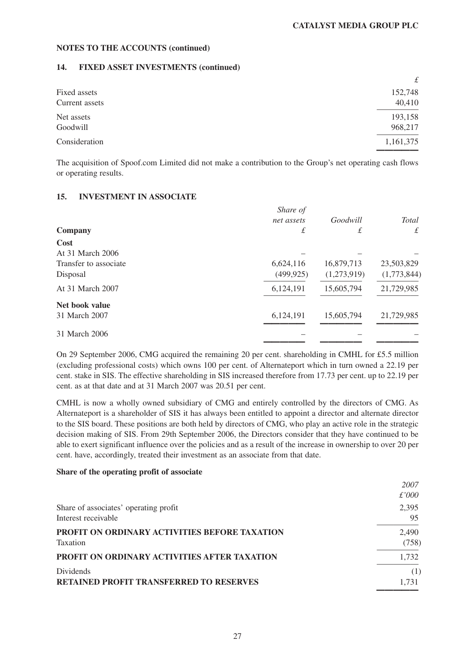## **14. FIXED ASSET INVESTMENTS (continued)**

|                | $\pounds$ |
|----------------|-----------|
| Fixed assets   | 152,748   |
| Current assets | 40,410    |
| Net assets     | 193,158   |
| Goodwill       | 968,217   |
| Consideration  | 1,161,375 |
|                |           |

The acquisition of Spoof.com Limited did not make a contribution to the Group's net operating cash flows or operating results.

## **15. INVESTMENT IN ASSOCIATE**

|                       | Share of   |             |              |
|-----------------------|------------|-------------|--------------|
|                       | net assets | Goodwill    | <b>Total</b> |
| Company               | £          | £           | £            |
| Cost                  |            |             |              |
| At 31 March 2006      |            |             |              |
| Transfer to associate | 6,624,116  | 16,879,713  | 23,503,829   |
| Disposal              | (499, 925) | (1,273,919) | (1,773,844)  |
| At 31 March 2007      | 6,124,191  | 15,605,794  | 21,729,985   |
| Net book value        |            |             |              |
| 31 March 2007         | 6,124,191  | 15,605,794  | 21,729,985   |
| 31 March 2006         |            |             |              |
|                       |            |             |              |

On 29 September 2006, CMG acquired the remaining 20 per cent. shareholding in CMHL for £5.5 million (excluding professional costs) which owns 100 per cent. of Alternateport which in turn owned a 22.19 per cent. stake in SIS. The effective shareholding in SIS increased therefore from 17.73 per cent. up to 22.19 per cent. as at that date and at 31 March 2007 was 20.51 per cent.

CMHL is now a wholly owned subsidiary of CMG and entirely controlled by the directors of CMG. As Alternateport is a shareholder of SIS it has always been entitled to appoint a director and alternate director to the SIS board. These positions are both held by directors of CMG, who play an active role in the strategic decision making of SIS. From 29th September 2006, the Directors consider that they have continued to be able to exert significant influence over the policies and as a result of the increase in ownership to over 20 per cent. have, accordingly, treated their investment as an associate from that date.

#### **Share of the operating profit of associate**

|                                                     | 2007  |
|-----------------------------------------------------|-------|
|                                                     | £'000 |
| Share of associates' operating profit               | 2,395 |
| Interest receivable                                 | 95    |
| PROFIT ON ORDINARY ACTIVITIES BEFORE TAXATION       | 2,490 |
| <b>Taxation</b>                                     | (758) |
| <b>PROFIT ON ORDINARY ACTIVITIES AFTER TAXATION</b> | 1,732 |
| <b>Dividends</b>                                    | (1)   |
| <b>RETAINED PROFIT TRANSFERRED TO RESERVES</b>      | 1.731 |
|                                                     |       |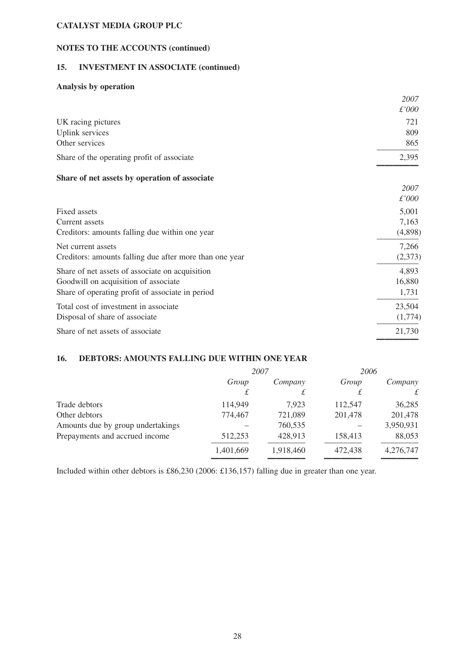## **NOTES TO THE ACCOUNTS (continued)**

## **15. INVESTMENT IN ASSOCIATE (continued)**

## **Analysis by operation**

|                                                         | 2007<br>£'000         |
|---------------------------------------------------------|-----------------------|
| UK racing pictures                                      | 721                   |
| <b>Uplink</b> services                                  | 809                   |
| Other services                                          | 865                   |
| Share of the operating profit of associate              | 2,395                 |
| Share of net assets by operation of associate           | 2007<br>$\pounds'000$ |
| Fixed assets                                            | 5,001                 |
| Current assets                                          | 7,163                 |
| Creditors: amounts falling due within one year          | (4,898)               |
| Net current assets                                      | 7,266                 |
| Creditors: amounts falling due after more than one year | (2,373)               |
| Share of net assets of associate on acquisition         | 4,893                 |
| Goodwill on acquisition of associate                    | 16,880                |
| Share of operating profit of associate in period        | 1,731                 |
| Total cost of investment in associate                   | 23,504                |
| Disposal of share of associate                          | (1,774)               |
| Share of net assets of associate                        | 21,730                |

## **16. DEBTORS: AMOUNTS FALLING DUE WITHIN ONE YEAR**

|                                   | 2007      |           | 2006    |              |         |
|-----------------------------------|-----------|-----------|---------|--------------|---------|
|                                   | Group     | Company   |         | Group        | Company |
|                                   | £         | £         | £       | $\mathbf{f}$ |         |
| Trade debtors                     | 114,949   | 7.923     | 112,547 | 36,285       |         |
| Other debtors                     | 774,467   | 721,089   | 201,478 | 201,478      |         |
| Amounts due by group undertakings |           | 760,535   |         | 3,950,931    |         |
| Prepayments and accrued income    | 512,253   | 428,913   | 158,413 | 88,053       |         |
|                                   | 1,401,669 | 1,918,460 | 472,438 | 4,276,747    |         |
|                                   |           |           |         |              |         |

Included within other debtors is £86,230 (2006: £136,157) falling due in greater than one year.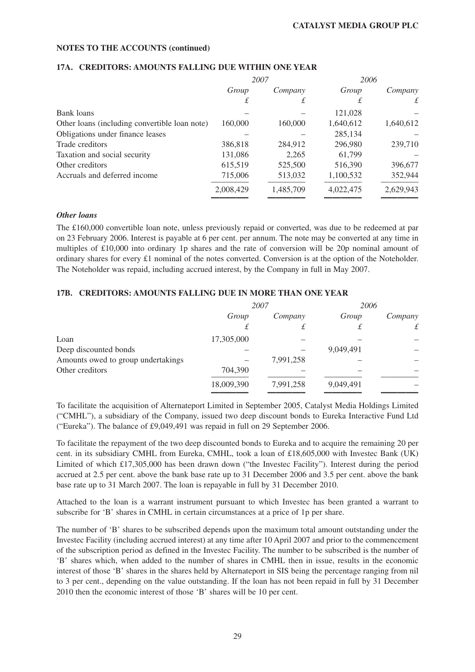|                                               |           | 2007      | 2006      |           |
|-----------------------------------------------|-----------|-----------|-----------|-----------|
|                                               | Group     | Company   | Group     | Company   |
|                                               | £         | £         | £         | £         |
| Bank loans                                    |           |           | 121,028   |           |
| Other loans (including convertible loan note) | 160,000   | 160,000   | 1,640,612 | 1,640,612 |
| Obligations under finance leases              |           |           | 285,134   |           |
| Trade creditors                               | 386,818   | 284,912   | 296,980   | 239,710   |
| Taxation and social security                  | 131,086   | 2,265     | 61,799    |           |
| Other creditors                               | 615,519   | 525,500   | 516,390   | 396,677   |
| Accruals and deferred income                  | 715,006   | 513,032   | 1,100,532 | 352,944   |
|                                               | 2,008,429 | 1,485,709 | 4,022,475 | 2,629,943 |
|                                               |           |           |           |           |

## **17A. CREDITORS: AMOUNTS FALLING DUE WITHIN ONE YEAR**

#### *Other loans*

The £160,000 convertible loan note, unless previously repaid or converted, was due to be redeemed at par on 23 February 2006. Interest is payable at 6 per cent. per annum. The note may be converted at any time in multiples of £10,000 into ordinary 1p shares and the rate of conversion will be 20p nominal amount of ordinary shares for every £1 nominal of the notes converted. Conversion is at the option of the Noteholder. The Noteholder was repaid, including accrued interest, by the Company in full in May 2007.

## **17B. CREDITORS: AMOUNTS FALLING DUE IN MORE THAN ONE YEAR**

|                                    | 2007       |           | 2006      |         |
|------------------------------------|------------|-----------|-----------|---------|
|                                    | Group      | Company   | Group     | Company |
|                                    |            |           | t         | £       |
| Loan                               | 17,305,000 |           |           |         |
| Deep discounted bonds              |            |           | 9,049,491 |         |
| Amounts owed to group undertakings |            | 7,991,258 |           |         |
| Other creditors                    | 704,390    |           |           |         |
|                                    | 18,009,390 | 7,991,258 | 9,049,491 |         |
|                                    |            |           |           |         |

To facilitate the acquisition of Alternateport Limited in September 2005, Catalyst Media Holdings Limited ("CMHL"), a subsidiary of the Company, issued two deep discount bonds to Eureka Interactive Fund Ltd ("Eureka"). The balance of £9,049,491 was repaid in full on 29 September 2006.

To facilitate the repayment of the two deep discounted bonds to Eureka and to acquire the remaining 20 per cent. in its subsidiary CMHL from Eureka, CMHL, took a loan of £18,605,000 with Investec Bank (UK) Limited of which £17,305,000 has been drawn down ("the Investec Facility"). Interest during the period accrued at 2.5 per cent. above the bank base rate up to 31 December 2006 and 3.5 per cent. above the bank base rate up to 31 March 2007. The loan is repayable in full by 31 December 2010.

Attached to the loan is a warrant instrument pursuant to which Investec has been granted a warrant to subscribe for 'B' shares in CMHL in certain circumstances at a price of 1p per share.

The number of 'B' shares to be subscribed depends upon the maximum total amount outstanding under the Investec Facility (including accrued interest) at any time after 10 April 2007 and prior to the commencement of the subscription period as defined in the Investec Facility. The number to be subscribed is the number of 'B' shares which, when added to the number of shares in CMHL then in issue, results in the economic interest of those 'B' shares in the shares held by Alternateport in SIS being the percentage ranging from nil to 3 per cent., depending on the value outstanding. If the loan has not been repaid in full by 31 December 2010 then the economic interest of those 'B' shares will be 10 per cent.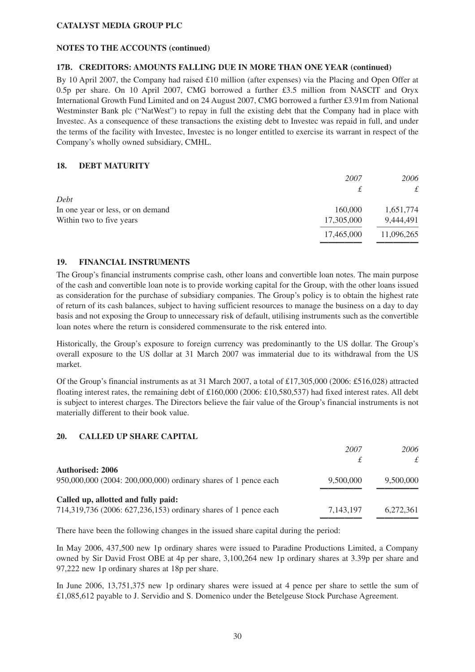## **NOTES TO THE ACCOUNTS (continued)**

## **17B. CREDITORS: AMOUNTS FALLING DUE IN MORE THAN ONE YEAR (continued)**

By 10 April 2007, the Company had raised £10 million (after expenses) via the Placing and Open Offer at 0.5p per share. On 10 April 2007, CMG borrowed a further £3.5 million from NASCIT and Oryx International Growth Fund Limited and on 24 August 2007, CMG borrowed a further £3.91m from National Westminster Bank plc ("NatWest") to repay in full the existing debt that the Company had in place with Investec. As a consequence of these transactions the existing debt to Investec was repaid in full, and under the terms of the facility with Investec, Investec is no longer entitled to exercise its warrant in respect of the Company's wholly owned subsidiary, CMHL.

## **18. DEBT MATURITY**

|                                   | 2007       | 2006       |
|-----------------------------------|------------|------------|
| Debt                              | £          | £          |
| In one year or less, or on demand | 160,000    | 1,651,774  |
| Within two to five years          | 17,305,000 | 9,444,491  |
|                                   | 17,465,000 | 11,096,265 |
|                                   |            |            |

#### **19. FINANCIAL INSTRUMENTS**

The Group's financial instruments comprise cash, other loans and convertible loan notes. The main purpose of the cash and convertible loan note is to provide working capital for the Group, with the other loans issued as consideration for the purchase of subsidiary companies. The Group's policy is to obtain the highest rate of return of its cash balances, subject to having sufficient resources to manage the business on a day to day basis and not exposing the Group to unnecessary risk of default, utilising instruments such as the convertible loan notes where the return is considered commensurate to the risk entered into.

Historically, the Group's exposure to foreign currency was predominantly to the US dollar. The Group's overall exposure to the US dollar at 31 March 2007 was immaterial due to its withdrawal from the US market.

Of the Group's financial instruments as at 31 March 2007, a total of £17,305,000 (2006: £516,028) attracted floating interest rates, the remaining debt of £160,000 (2006: £10,580,537) had fixed interest rates. All debt is subject to interest charges. The Directors believe the fair value of the Group's financial instruments is not materially different to their book value.

## **20. CALLED UP SHARE CAPITAL**

|                                                                 | 2007        | 2006      |
|-----------------------------------------------------------------|-------------|-----------|
|                                                                 |             | £         |
| Authorised: 2006                                                |             |           |
| 950,000,000 (2004: 200,000,000) ordinary shares of 1 pence each | 9.500,000   | 9,500,000 |
| Called up, allotted and fully paid:                             |             |           |
| 714,319,736 (2006: 627,236,153) ordinary shares of 1 pence each | 7, 143, 197 | 6.272.361 |
|                                                                 |             |           |

There have been the following changes in the issued share capital during the period:

In May 2006, 437,500 new 1p ordinary shares were issued to Paradine Productions Limited, a Company owned by Sir David Frost OBE at 4p per share, 3,100,264 new 1p ordinary shares at 3.39p per share and 97,222 new 1p ordinary shares at 18p per share.

In June 2006, 13,751,375 new 1p ordinary shares were issued at 4 pence per share to settle the sum of £1,085,612 payable to J. Servidio and S. Domenico under the Betelgeuse Stock Purchase Agreement.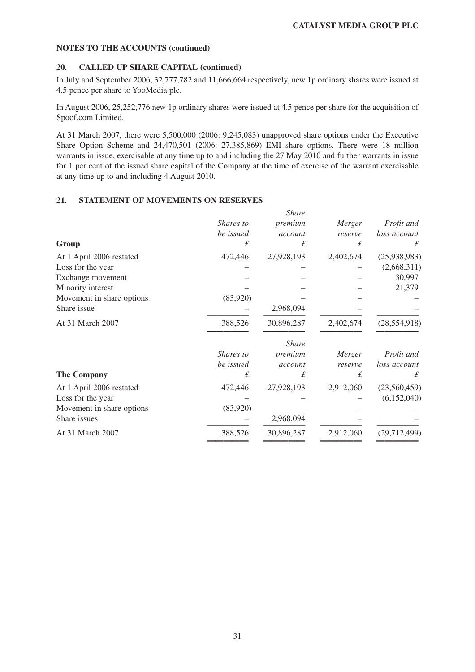## **20. CALLED UP SHARE CAPITAL (continued)**

In July and September 2006, 32,777,782 and 11,666,664 respectively, new 1p ordinary shares were issued at 4.5 pence per share to YooMedia plc.

In August 2006, 25,252,776 new 1p ordinary shares were issued at 4.5 pence per share for the acquisition of Spoof.com Limited.

At 31 March 2007, there were 5,500,000 (2006: 9,245,083) unapproved share options under the Executive Share Option Scheme and 24,470,501 (2006: 27,385,869) EMI share options. There were 18 million warrants in issue, exercisable at any time up to and including the 27 May 2010 and further warrants in issue for 1 per cent of the issued share capital of the Company at the time of exercise of the warrant exercisable at any time up to and including 4 August 2010.

## **21. STATEMENT OF MOVEMENTS ON RESERVES**

|                           |           | <b>Share</b> |           |                |
|---------------------------|-----------|--------------|-----------|----------------|
|                           | Shares to | premium      | Merger    | Profit and     |
|                           | be issued | account      | reserve   | loss account   |
| Group                     | £         | £            | £         |                |
| At 1 April 2006 restated  | 472,446   | 27,928,193   | 2,402,674 | (25,938,983)   |
| Loss for the year         |           |              |           | (2,668,311)    |
| Exchange movement         |           |              |           | 30,997         |
| Minority interest         |           |              |           | 21,379         |
| Movement in share options | (83,920)  |              |           |                |
| Share issue               |           | 2,968,094    |           |                |
| At 31 March 2007          | 388,526   | 30,896,287   | 2,402,674 | (28, 554, 918) |
|                           |           | <b>Share</b> |           |                |
|                           | Shares to | premium      | Merger    | Profit and     |
|                           | be issued | account      | reserve   | loss account   |
| <b>The Company</b>        | £         | £            | £         | £              |
| At 1 April 2006 restated  | 472,446   | 27,928,193   | 2,912,060 | (23,560,459)   |
| Loss for the year         |           |              |           | (6,152,040)    |
| Movement in share options | (83,920)  |              |           |                |
| Share issues              |           | 2,968,094    |           |                |
| At 31 March 2007          | 388,526   | 30,896,287   | 2,912,060 | (29,712,499)   |
|                           |           |              |           |                |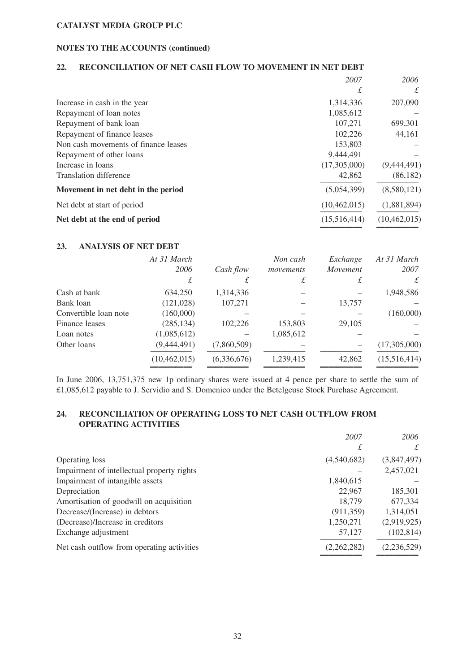## **NOTES TO THE ACCOUNTS (continued)**

## **22. RECONCILIATION OF NET CASH FLOW TO MOVEMENT IN NET DEBT**

|                                      | 2007           | 2006           |
|--------------------------------------|----------------|----------------|
|                                      | £              | £              |
| Increase in cash in the year         | 1,314,336      | 207,090        |
| Repayment of loan notes              | 1,085,612      |                |
| Repayment of bank loan               | 107,271        | 699,301        |
| Repayment of finance leases          | 102,226        | 44,161         |
| Non cash movements of finance leases | 153,803        |                |
| Repayment of other loans             | 9,444,491      |                |
| Increase in loans                    | (17,305,000)   | (9,444,491)    |
| Translation difference               | 42,862         | (86, 182)      |
| Movement in net debt in the period   | (5,054,399)    | (8,580,121)    |
| Net debt at start of period          | (10, 462, 015) | (1,881,894)    |
| Net debt at the end of period        | (15,516,414)   | (10, 462, 015) |
|                                      |                |                |

## **23. ANALYSIS OF NET DEBT**

|                       | At 31 March    |             | Non cash  | Exchange | At 31 March  |
|-----------------------|----------------|-------------|-----------|----------|--------------|
|                       | 2006           | Cash flow   | movements | Movement | 2007         |
|                       | £              | £           | £         | £        | £            |
| Cash at bank          | 634,250        | 1,314,336   |           |          | 1,948,586    |
| Bank loan             | (121, 028)     | 107,271     |           | 13,757   |              |
| Convertible loan note | (160,000)      |             |           |          | (160,000)    |
| Finance leases        | (285, 134)     | 102,226     | 153,803   | 29,105   |              |
| Loan notes            | (1,085,612)    |             | 1,085,612 |          |              |
| Other loans           | (9,444,491)    | (7,860,509) |           |          | (17,305,000) |
|                       | (10, 462, 015) | (6,336,676) | 1,239,415 | 42,862   | (15,516,414) |
|                       |                |             |           |          |              |

In June 2006, 13,751,375 new 1p ordinary shares were issued at 4 pence per share to settle the sum of £1,085,612 payable to J. Servidio and S. Domenico under the Betelgeuse Stock Purchase Agreement.

## **24. RECONCILIATION OF OPERATING LOSS TO NET CASH OUTFLOW FROM OPERATING ACTIVITIES**

|                                            | 2007        | 2006        |
|--------------------------------------------|-------------|-------------|
|                                            | £           | £           |
| Operating loss                             | (4,540,682) | (3,847,497) |
| Impairment of intellectual property rights |             | 2,457,021   |
| Impairment of intangible assets            | 1,840,615   |             |
| Depreciation                               | 22,967      | 185,301     |
| Amortisation of goodwill on acquisition    | 18,779      | 677,334     |
| Decrease/(Increase) in debtors             | (911, 359)  | 1,314,051   |
| (Decrease)/Increase in creditors           | 1,250,271   | (2,919,925) |
| Exchange adjustment                        | 57,127      | (102, 814)  |
| Net cash outflow from operating activities | (2,262,282) | (2,236,529) |
|                                            |             |             |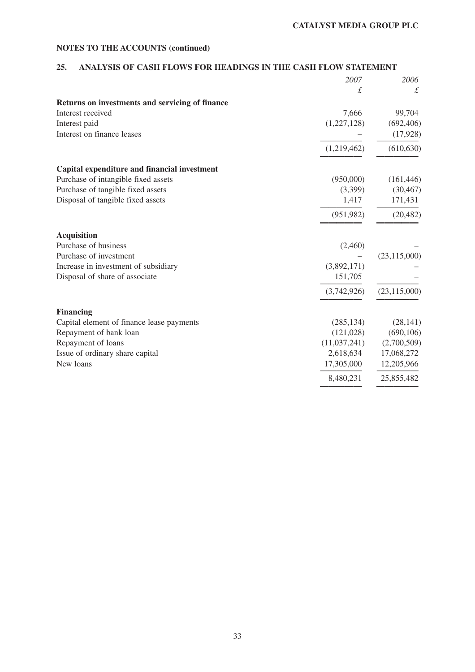## **25. ANALYSIS OF CASH FLOWS FOR HEADINGS IN THE CASH FLOW STATEMENT**

|                                                 | 2007           | 2006           |
|-------------------------------------------------|----------------|----------------|
|                                                 | £              | £              |
| Returns on investments and servicing of finance |                |                |
| Interest received                               | 7,666          | 99,704         |
| Interest paid                                   | (1,227,128)    | (692, 406)     |
| Interest on finance leases                      |                | (17, 928)      |
|                                                 | (1,219,462)    | (610, 630)     |
| Capital expenditure and financial investment    |                |                |
| Purchase of intangible fixed assets             | (950,000)      | (161, 446)     |
| Purchase of tangible fixed assets               | (3,399)        | (30, 467)      |
| Disposal of tangible fixed assets               | 1,417          | 171,431        |
|                                                 | (951, 982)     | (20, 482)      |
| <b>Acquisition</b>                              |                |                |
| Purchase of business                            | (2,460)        |                |
| Purchase of investment                          |                | (23, 115, 000) |
| Increase in investment of subsidiary            | (3,892,171)    |                |
| Disposal of share of associate                  | 151,705        |                |
|                                                 | (3,742,926)    | (23, 115, 000) |
| <b>Financing</b>                                |                |                |
| Capital element of finance lease payments       | (285, 134)     | (28, 141)      |
| Repayment of bank loan                          | (121, 028)     | (690, 106)     |
| Repayment of loans                              | (11, 037, 241) | (2,700,509)    |
| Issue of ordinary share capital                 | 2,618,634      | 17,068,272     |
| New loans                                       | 17,305,000     | 12,205,966     |
|                                                 | 8,480,231      | 25,855,482     |
|                                                 |                |                |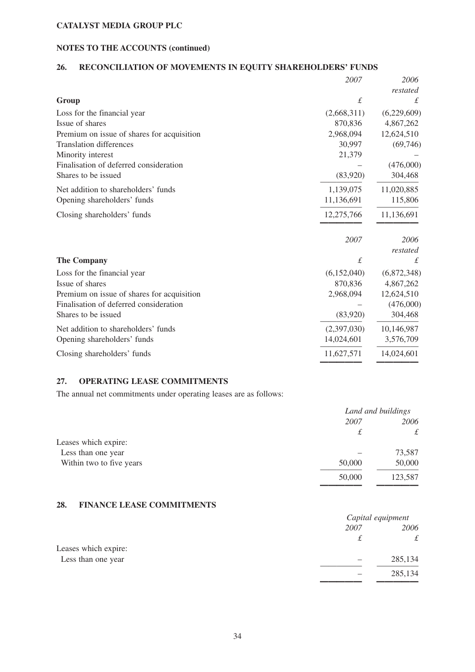## **NOTES TO THE ACCOUNTS (continued)**

## **26. RECONCILIATION OF MOVEMENTS IN EQUITY SHAREHOLDERS' FUNDS**

| 2007        | 2006             |
|-------------|------------------|
|             | restated         |
| £           | £                |
| (2,668,311) | (6,229,609)      |
| 870,836     | 4,867,262        |
| 2,968,094   | 12,624,510       |
| 30,997      | (69, 746)        |
| 21,379      |                  |
|             | (476,000)        |
| (83,920)    | 304,468          |
| 1,139,075   | 11,020,885       |
| 11,136,691  | 115,806          |
| 12,275,766  | 11,136,691       |
| 2007        | 2006<br>restated |
| $\pounds$   | £                |
| (6,152,040) | (6,872,348)      |
| 870,836     | 4,867,262        |
| 2,968,094   | 12,624,510       |
|             | (476,000)        |
| (83,920)    | 304,468          |
| (2,397,030) | 10,146,987       |
| 14,024,601  | 3,576,709        |
| 11,627,571  | 14,024,601       |
|             |                  |

## **27. OPERATING LEASE COMMITMENTS**

The annual net commitments under operating leases are as follows:

|                          |        | Land and buildings |  |
|--------------------------|--------|--------------------|--|
|                          | 2007   | 2006               |  |
|                          | £      |                    |  |
| Leases which expire:     |        |                    |  |
| Less than one year       |        | 73,587             |  |
| Within two to five years | 50,000 | 50,000             |  |
|                          | 50,000 | 123,587            |  |

————— —————

————— —————

## **28. FINANCE LEASE COMMITMENTS**

|                      |      | Capital equipment |  |
|----------------------|------|-------------------|--|
|                      | 2007 | 2006              |  |
|                      |      |                   |  |
| Leases which expire: |      |                   |  |
| Less than one year   |      | 285,134           |  |
|                      |      | 285,134           |  |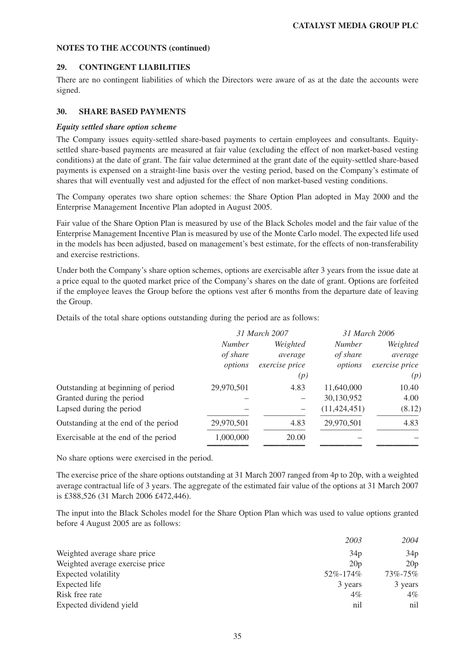#### **29. CONTINGENT LIABILITIES**

There are no contingent liabilities of which the Directors were aware of as at the date the accounts were signed.

## **30. SHARE BASED PAYMENTS**

#### *Equity settled share option scheme*

The Company issues equity-settled share-based payments to certain employees and consultants. Equitysettled share-based payments are measured at fair value (excluding the effect of non market-based vesting conditions) at the date of grant. The fair value determined at the grant date of the equity-settled share-based payments is expensed on a straight-line basis over the vesting period, based on the Company's estimate of shares that will eventually vest and adjusted for the effect of non market-based vesting conditions.

The Company operates two share option schemes: the Share Option Plan adopted in May 2000 and the Enterprise Management Incentive Plan adopted in August 2005.

Fair value of the Share Option Plan is measured by use of the Black Scholes model and the fair value of the Enterprise Management Incentive Plan is measured by use of the Monte Carlo model. The expected life used in the models has been adjusted, based on management's best estimate, for the effects of non-transferability and exercise restrictions.

Under both the Company's share option schemes, options are exercisable after 3 years from the issue date at a price equal to the quoted market price of the Company's shares on the date of grant. Options are forfeited if the employee leaves the Group before the options vest after 6 months from the departure date of leaving the Group.

Details of the total share options outstanding during the period are as follows:

|                                      | 31 March 2007 |                | 31 March 2006  |                |
|--------------------------------------|---------------|----------------|----------------|----------------|
|                                      | <b>Number</b> | Weighted       | <b>Number</b>  | Weighted       |
|                                      | of share      | average        | of share       | average        |
|                                      | options       | exercise price | options        | exercise price |
|                                      |               | (p)            |                | (p)            |
| Outstanding at beginning of period   | 29,970,501    | 4.83           | 11,640,000     | 10.40          |
| Granted during the period            |               |                | 30,130,952     | 4.00           |
| Lapsed during the period             |               |                | (11, 424, 451) | (8.12)         |
| Outstanding at the end of the period | 29,970,501    | 4.83           | 29,970,501     | 4.83           |
| Exercisable at the end of the period | 1,000,000     | 20.00          |                |                |
|                                      |               |                |                |                |

No share options were exercised in the period.

The exercise price of the share options outstanding at 31 March 2007 ranged from 4p to 20p, with a weighted average contractual life of 3 years. The aggregate of the estimated fair value of the options at 31 March 2007 is £388,526 (31 March 2006 £472,446).

The input into the Black Scholes model for the Share Option Plan which was used to value options granted before 4 August 2005 are as follows:

|                                 | 2003            | 2004          |
|---------------------------------|-----------------|---------------|
| Weighted average share price    | 34p             | 34p           |
| Weighted average exercise price | 20 <sub>p</sub> | 20p           |
| Expected volatility             | 52\%-174\%      | $73\% - 75\%$ |
| Expected life                   | 3 years         | 3 years       |
| Risk free rate                  | $4\%$           | $4\%$         |
| Expected dividend yield         | nil             | nil           |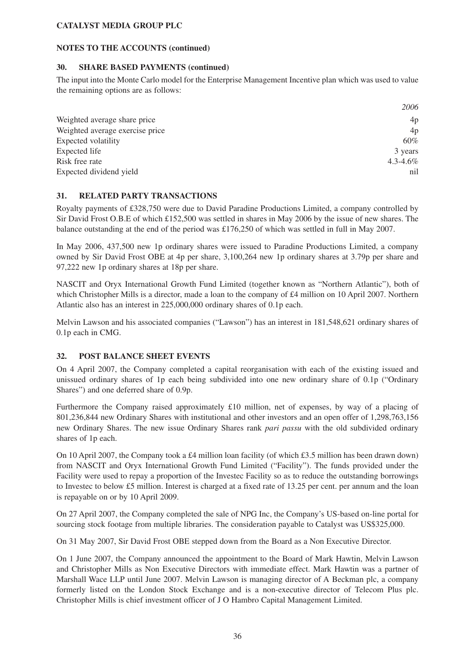## **NOTES TO THE ACCOUNTS (continued)**

## **30. SHARE BASED PAYMENTS (continued)**

The input into the Monte Carlo model for the Enterprise Management Incentive plan which was used to value the remaining options are as follows:

|                                 | 2006           |
|---------------------------------|----------------|
| Weighted average share price    | 4p             |
| Weighted average exercise price | 4 <sub>p</sub> |
| Expected volatility             | $60\%$         |
| Expected life                   | 3 years        |
| Risk free rate                  | $4.3 - 4.6\%$  |
| Expected dividend yield         | nil            |

## **31. RELATED PARTY TRANSACTIONS**

Royalty payments of £328,750 were due to David Paradine Productions Limited, a company controlled by Sir David Frost O.B.E of which £152,500 was settled in shares in May 2006 by the issue of new shares. The balance outstanding at the end of the period was £176,250 of which was settled in full in May 2007.

In May 2006, 437,500 new 1p ordinary shares were issued to Paradine Productions Limited, a company owned by Sir David Frost OBE at 4p per share, 3,100,264 new 1p ordinary shares at 3.79p per share and 97,222 new 1p ordinary shares at 18p per share.

NASCIT and Oryx International Growth Fund Limited (together known as "Northern Atlantic"), both of which Christopher Mills is a director, made a loan to the company of £4 million on 10 April 2007. Northern Atlantic also has an interest in 225,000,000 ordinary shares of 0.1p each.

Melvin Lawson and his associated companies ("Lawson") has an interest in 181,548,621 ordinary shares of 0.1p each in CMG.

## **32. POST BALANCE SHEET EVENTS**

On 4 April 2007, the Company completed a capital reorganisation with each of the existing issued and unissued ordinary shares of 1p each being subdivided into one new ordinary share of 0.1p ("Ordinary Shares") and one deferred share of 0.9p.

Furthermore the Company raised approximately £10 million, net of expenses, by way of a placing of 801,236,844 new Ordinary Shares with institutional and other investors and an open offer of 1,298,763,156 new Ordinary Shares. The new issue Ordinary Shares rank *pari passu* with the old subdivided ordinary shares of 1p each.

On 10 April 2007, the Company took a £4 million loan facility (of which £3.5 million has been drawn down) from NASCIT and Oryx International Growth Fund Limited ("Facility"). The funds provided under the Facility were used to repay a proportion of the Investec Facility so as to reduce the outstanding borrowings to Investec to below £5 million. Interest is charged at a fixed rate of 13.25 per cent. per annum and the loan is repayable on or by 10 April 2009.

On 27 April 2007, the Company completed the sale of NPG Inc, the Company's US-based on-line portal for sourcing stock footage from multiple libraries. The consideration payable to Catalyst was US\$325,000.

On 31 May 2007, Sir David Frost OBE stepped down from the Board as a Non Executive Director.

On 1 June 2007, the Company announced the appointment to the Board of Mark Hawtin, Melvin Lawson and Christopher Mills as Non Executive Directors with immediate effect. Mark Hawtin was a partner of Marshall Wace LLP until June 2007. Melvin Lawson is managing director of A Beckman plc, a company formerly listed on the London Stock Exchange and is a non-executive director of Telecom Plus plc. Christopher Mills is chief investment officer of J O Hambro Capital Management Limited.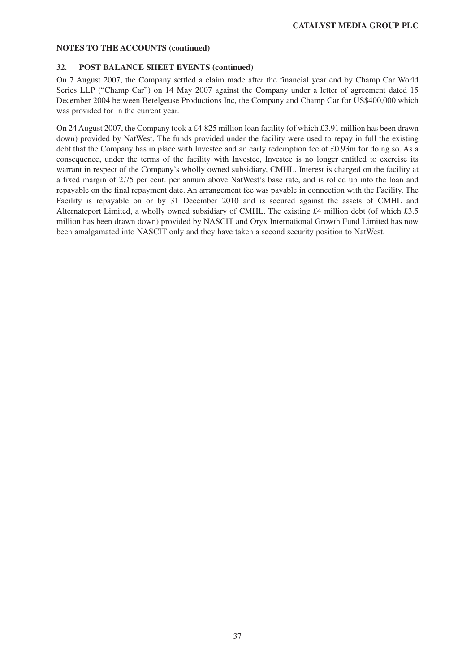## **32. POST BALANCE SHEET EVENTS (continued)**

On 7 August 2007, the Company settled a claim made after the financial year end by Champ Car World Series LLP ("Champ Car") on 14 May 2007 against the Company under a letter of agreement dated 15 December 2004 between Betelgeuse Productions Inc, the Company and Champ Car for US\$400,000 which was provided for in the current year.

On 24 August 2007, the Company took a £4.825 million loan facility (of which £3.91 million has been drawn down) provided by NatWest. The funds provided under the facility were used to repay in full the existing debt that the Company has in place with Investec and an early redemption fee of £0.93m for doing so. As a consequence, under the terms of the facility with Investec, Investec is no longer entitled to exercise its warrant in respect of the Company's wholly owned subsidiary, CMHL. Interest is charged on the facility at a fixed margin of 2.75 per cent. per annum above NatWest's base rate, and is rolled up into the loan and repayable on the final repayment date. An arrangement fee was payable in connection with the Facility. The Facility is repayable on or by 31 December 2010 and is secured against the assets of CMHL and Alternateport Limited, a wholly owned subsidiary of CMHL. The existing £4 million debt (of which £3.5 million has been drawn down) provided by NASCIT and Oryx International Growth Fund Limited has now been amalgamated into NASCIT only and they have taken a second security position to NatWest.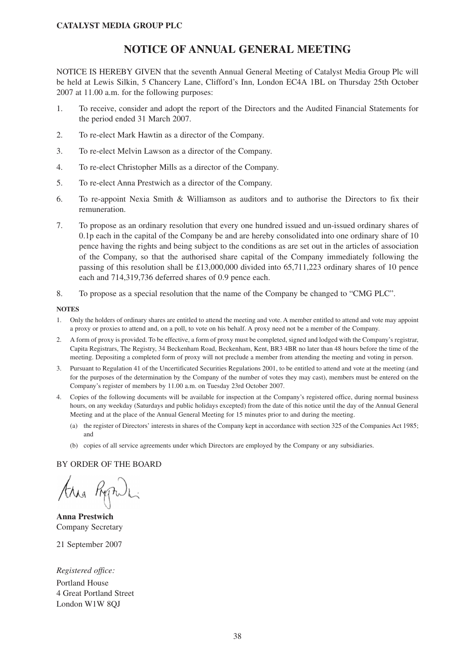## **NOTICE OF ANNUAL GENERAL MEETING**

NOTICE IS HEREBY GIVEN that the seventh Annual General Meeting of Catalyst Media Group Plc will be held at Lewis Silkin, 5 Chancery Lane, Clifford's Inn, London EC4A 1BL on Thursday 25th October 2007 at 11.00 a.m. for the following purposes:

- 1. To receive, consider and adopt the report of the Directors and the Audited Financial Statements for the period ended 31 March 2007.
- 2. To re-elect Mark Hawtin as a director of the Company.
- 3. To re-elect Melvin Lawson as a director of the Company.
- 4. To re-elect Christopher Mills as a director of the Company.
- 5. To re-elect Anna Prestwich as a director of the Company.
- 6. To re-appoint Nexia Smith & Williamson as auditors and to authorise the Directors to fix their remuneration.
- 7. To propose as an ordinary resolution that every one hundred issued and un-issued ordinary shares of 0.1p each in the capital of the Company be and are hereby consolidated into one ordinary share of 10 pence having the rights and being subject to the conditions as are set out in the articles of association of the Company, so that the authorised share capital of the Company immediately following the passing of this resolution shall be £13,000,000 divided into 65,711,223 ordinary shares of 10 pence each and 714,319,736 deferred shares of 0.9 pence each.
- 8. To propose as a special resolution that the name of the Company be changed to "CMG PLC".

#### **NOTES**

- 1. Only the holders of ordinary shares are entitled to attend the meeting and vote. A member entitled to attend and vote may appoint a proxy or proxies to attend and, on a poll, to vote on his behalf. A proxy need not be a member of the Company.
- 2. A form of proxy is provided. To be effective, a form of proxy must be completed, signed and lodged with the Company's registrar, Capita Registrars, The Registry, 34 Beckenham Road, Beckenham, Kent, BR3 4BR no later than 48 hours before the time of the meeting. Depositing a completed form of proxy will not preclude a member from attending the meeting and voting in person.
- 3. Pursuant to Regulation 41 of the Uncertificated Securities Regulations 2001, to be entitled to attend and vote at the meeting (and for the purposes of the determination by the Company of the number of votes they may cast), members must be entered on the Company's register of members by 11.00 a.m. on Tuesday 23rd October 2007.
- 4. Copies of the following documents will be available for inspection at the Company's registered office, during normal business hours, on any weekday (Saturdays and public holidays excepted) from the date of this notice until the day of the Annual General Meeting and at the place of the Annual General Meeting for 15 minutes prior to and during the meeting.
	- (a) the register of Directors' interests in shares of the Company kept in accordance with section 325 of the Companies Act 1985; and
	- (b) copies of all service agreements under which Directors are employed by the Company or any subsidiaries.

#### BY ORDER OF THE BOARD

Aria Repuls

**Anna Prestwich** Company Secretary

21 September 2007

*Registered office:* Portland House 4 Great Portland Street London W1W 8QJ